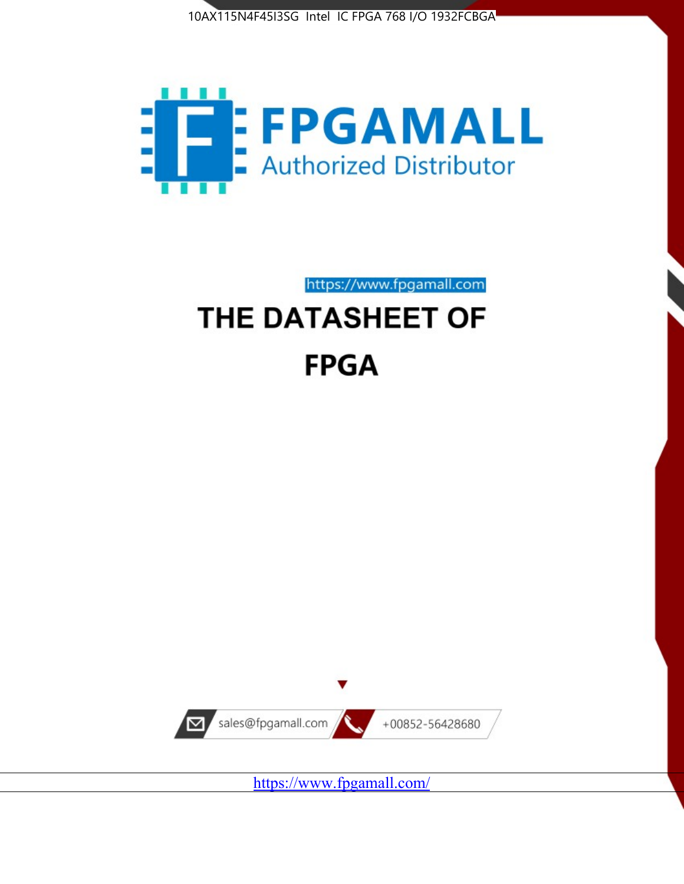



https://www.fpgamall.com

# THE DATASHEET OF **FPGA**



<https://www.fpgamall.com/>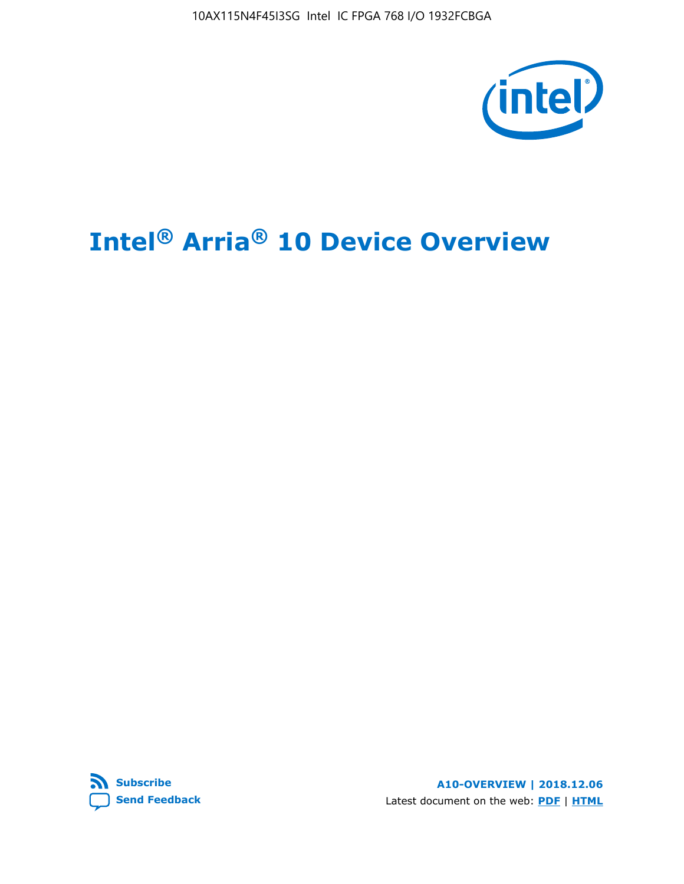10AX115N4F45I3SG Intel IC FPGA 768 I/O 1932FCBGA



# **Intel® Arria® 10 Device Overview**



**A10-OVERVIEW | 2018.12.06** Latest document on the web: **[PDF](https://www.intel.com/content/dam/www/programmable/us/en/pdfs/literature/hb/arria-10/a10_overview.pdf)** | **[HTML](https://www.intel.com/content/www/us/en/programmable/documentation/sam1403480274650.html)**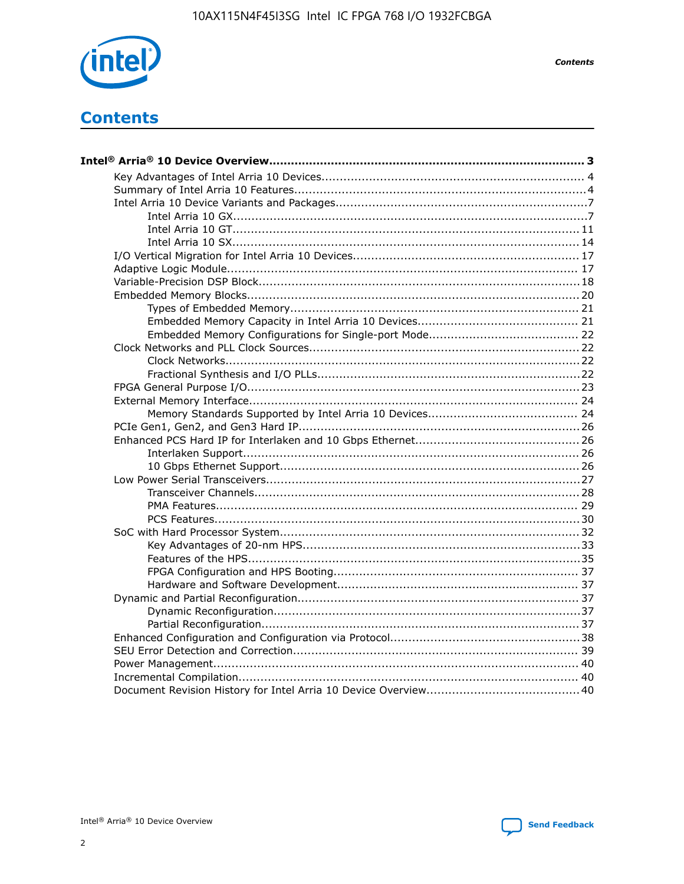

**Contents** 

# **Contents**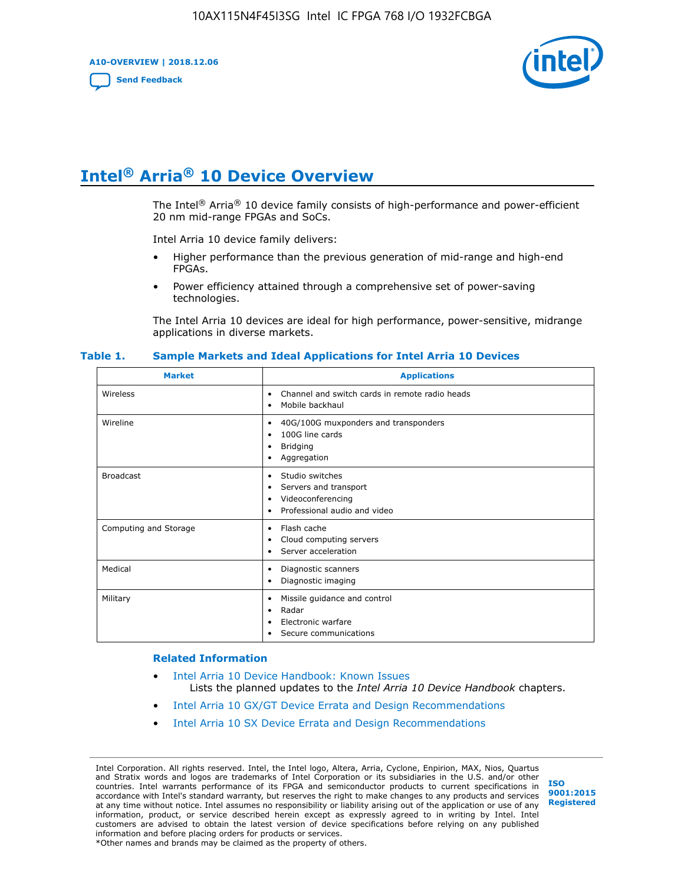**A10-OVERVIEW | 2018.12.06**

**[Send Feedback](mailto:FPGAtechdocfeedback@intel.com?subject=Feedback%20on%20Intel%20Arria%2010%20Device%20Overview%20(A10-OVERVIEW%202018.12.06)&body=We%20appreciate%20your%20feedback.%20In%20your%20comments,%20also%20specify%20the%20page%20number%20or%20paragraph.%20Thank%20you.)**



# **Intel® Arria® 10 Device Overview**

The Intel<sup>®</sup> Arria<sup>®</sup> 10 device family consists of high-performance and power-efficient 20 nm mid-range FPGAs and SoCs.

Intel Arria 10 device family delivers:

- Higher performance than the previous generation of mid-range and high-end FPGAs.
- Power efficiency attained through a comprehensive set of power-saving technologies.

The Intel Arria 10 devices are ideal for high performance, power-sensitive, midrange applications in diverse markets.

| <b>Market</b>         | <b>Applications</b>                                                                                               |
|-----------------------|-------------------------------------------------------------------------------------------------------------------|
| Wireless              | Channel and switch cards in remote radio heads<br>٠<br>Mobile backhaul<br>٠                                       |
| Wireline              | 40G/100G muxponders and transponders<br>٠<br>100G line cards<br>٠<br><b>Bridging</b><br>٠<br>Aggregation<br>٠     |
| <b>Broadcast</b>      | Studio switches<br>٠<br>Servers and transport<br>٠<br>Videoconferencing<br>٠<br>Professional audio and video<br>٠ |
| Computing and Storage | Flash cache<br>٠<br>Cloud computing servers<br>٠<br>Server acceleration<br>٠                                      |
| Medical               | Diagnostic scanners<br>٠<br>Diagnostic imaging<br>٠                                                               |
| Military              | Missile guidance and control<br>٠<br>Radar<br>٠<br>Electronic warfare<br>٠<br>Secure communications<br>٠          |

#### **Table 1. Sample Markets and Ideal Applications for Intel Arria 10 Devices**

#### **Related Information**

- [Intel Arria 10 Device Handbook: Known Issues](http://www.altera.com/support/kdb/solutions/rd07302013_646.html) Lists the planned updates to the *Intel Arria 10 Device Handbook* chapters.
- [Intel Arria 10 GX/GT Device Errata and Design Recommendations](https://www.intel.com/content/www/us/en/programmable/documentation/agz1493851706374.html#yqz1494433888646)
- [Intel Arria 10 SX Device Errata and Design Recommendations](https://www.intel.com/content/www/us/en/programmable/documentation/cru1462832385668.html#cru1462832558642)

Intel Corporation. All rights reserved. Intel, the Intel logo, Altera, Arria, Cyclone, Enpirion, MAX, Nios, Quartus and Stratix words and logos are trademarks of Intel Corporation or its subsidiaries in the U.S. and/or other countries. Intel warrants performance of its FPGA and semiconductor products to current specifications in accordance with Intel's standard warranty, but reserves the right to make changes to any products and services at any time without notice. Intel assumes no responsibility or liability arising out of the application or use of any information, product, or service described herein except as expressly agreed to in writing by Intel. Intel customers are advised to obtain the latest version of device specifications before relying on any published information and before placing orders for products or services. \*Other names and brands may be claimed as the property of others.

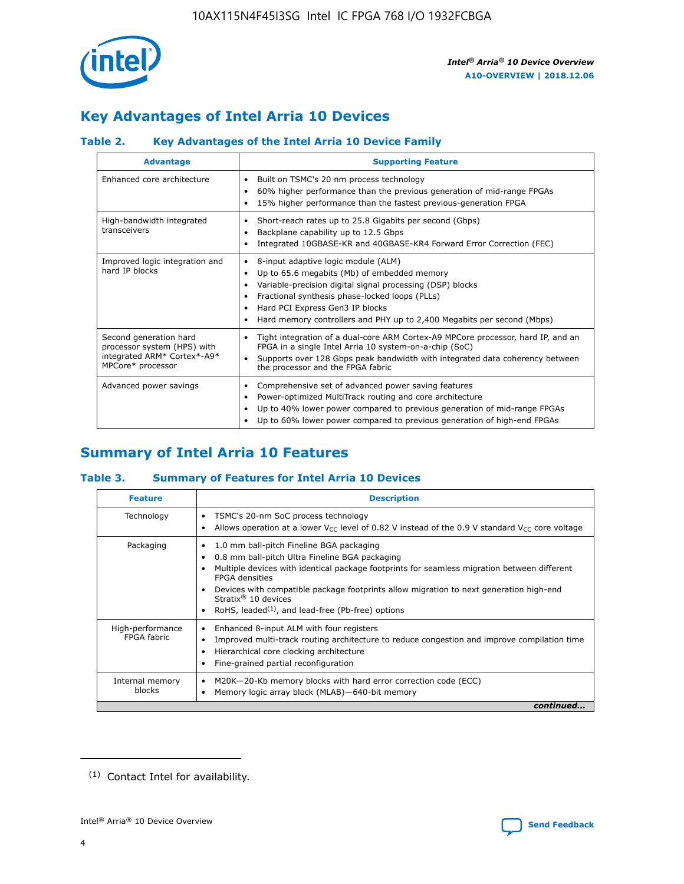

# **Key Advantages of Intel Arria 10 Devices**

## **Table 2. Key Advantages of the Intel Arria 10 Device Family**

| <b>Advantage</b>                                                                                          | <b>Supporting Feature</b>                                                                                                                                                                                                                                                                                                |  |  |  |  |  |
|-----------------------------------------------------------------------------------------------------------|--------------------------------------------------------------------------------------------------------------------------------------------------------------------------------------------------------------------------------------------------------------------------------------------------------------------------|--|--|--|--|--|
| Enhanced core architecture                                                                                | Built on TSMC's 20 nm process technology<br>٠<br>60% higher performance than the previous generation of mid-range FPGAs<br>٠<br>15% higher performance than the fastest previous-generation FPGA<br>٠                                                                                                                    |  |  |  |  |  |
| High-bandwidth integrated<br>transceivers                                                                 | Short-reach rates up to 25.8 Gigabits per second (Gbps)<br>٠<br>Backplane capability up to 12.5 Gbps<br>٠<br>Integrated 10GBASE-KR and 40GBASE-KR4 Forward Error Correction (FEC)<br>٠                                                                                                                                   |  |  |  |  |  |
| Improved logic integration and<br>hard IP blocks                                                          | 8-input adaptive logic module (ALM)<br>٠<br>Up to 65.6 megabits (Mb) of embedded memory<br>٠<br>Variable-precision digital signal processing (DSP) blocks<br>Fractional synthesis phase-locked loops (PLLs)<br>Hard PCI Express Gen3 IP blocks<br>Hard memory controllers and PHY up to 2,400 Megabits per second (Mbps) |  |  |  |  |  |
| Second generation hard<br>processor system (HPS) with<br>integrated ARM* Cortex*-A9*<br>MPCore* processor | Tight integration of a dual-core ARM Cortex-A9 MPCore processor, hard IP, and an<br>٠<br>FPGA in a single Intel Arria 10 system-on-a-chip (SoC)<br>Supports over 128 Gbps peak bandwidth with integrated data coherency between<br>$\bullet$<br>the processor and the FPGA fabric                                        |  |  |  |  |  |
| Advanced power savings                                                                                    | Comprehensive set of advanced power saving features<br>٠<br>Power-optimized MultiTrack routing and core architecture<br>٠<br>Up to 40% lower power compared to previous generation of mid-range FPGAs<br>Up to 60% lower power compared to previous generation of high-end FPGAs                                         |  |  |  |  |  |

# **Summary of Intel Arria 10 Features**

## **Table 3. Summary of Features for Intel Arria 10 Devices**

| <b>Feature</b>                  | <b>Description</b>                                                                                                                                                                                                                                                                                                                                                                                 |
|---------------------------------|----------------------------------------------------------------------------------------------------------------------------------------------------------------------------------------------------------------------------------------------------------------------------------------------------------------------------------------------------------------------------------------------------|
| Technology                      | TSMC's 20-nm SoC process technology<br>Allows operation at a lower $V_{\text{CC}}$ level of 0.82 V instead of the 0.9 V standard $V_{\text{CC}}$ core voltage                                                                                                                                                                                                                                      |
| Packaging                       | 1.0 mm ball-pitch Fineline BGA packaging<br>٠<br>0.8 mm ball-pitch Ultra Fineline BGA packaging<br>Multiple devices with identical package footprints for seamless migration between different<br><b>FPGA</b> densities<br>Devices with compatible package footprints allow migration to next generation high-end<br>Stratix $@10$ devices<br>RoHS, leaded $(1)$ , and lead-free (Pb-free) options |
| High-performance<br>FPGA fabric | Enhanced 8-input ALM with four registers<br>Improved multi-track routing architecture to reduce congestion and improve compilation time<br>Hierarchical core clocking architecture<br>Fine-grained partial reconfiguration                                                                                                                                                                         |
| Internal memory<br>blocks       | M20K-20-Kb memory blocks with hard error correction code (ECC)<br>Memory logic array block (MLAB)-640-bit memory                                                                                                                                                                                                                                                                                   |
|                                 | continued                                                                                                                                                                                                                                                                                                                                                                                          |



<sup>(1)</sup> Contact Intel for availability.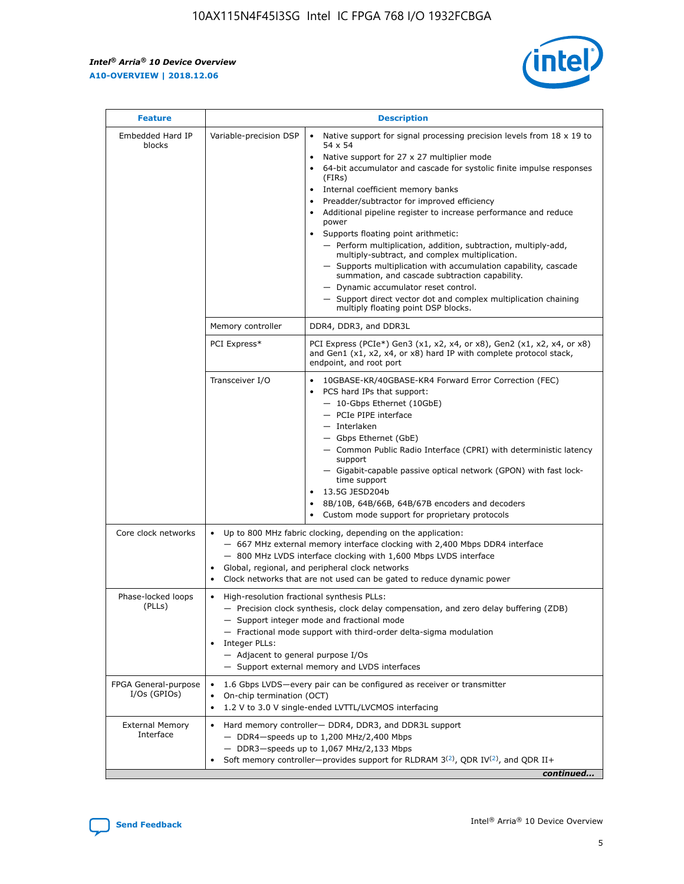r



| <b>Feature</b>                         |                                                                                                                | <b>Description</b>                                                                                                                                                                                                                                                                                                                                                                                                                                                                                                                                                                                                                                                                                                                                                                                                                                               |  |  |  |  |  |  |
|----------------------------------------|----------------------------------------------------------------------------------------------------------------|------------------------------------------------------------------------------------------------------------------------------------------------------------------------------------------------------------------------------------------------------------------------------------------------------------------------------------------------------------------------------------------------------------------------------------------------------------------------------------------------------------------------------------------------------------------------------------------------------------------------------------------------------------------------------------------------------------------------------------------------------------------------------------------------------------------------------------------------------------------|--|--|--|--|--|--|
| Embedded Hard IP<br>blocks             | Variable-precision DSP                                                                                         | Native support for signal processing precision levels from $18 \times 19$ to<br>$\bullet$<br>54 x 54<br>Native support for 27 x 27 multiplier mode<br>$\bullet$<br>64-bit accumulator and cascade for systolic finite impulse responses<br>(FIRs)<br>Internal coefficient memory banks<br>$\bullet$<br>Preadder/subtractor for improved efficiency<br>Additional pipeline register to increase performance and reduce<br>power<br>Supports floating point arithmetic:<br>- Perform multiplication, addition, subtraction, multiply-add,<br>multiply-subtract, and complex multiplication.<br>- Supports multiplication with accumulation capability, cascade<br>summation, and cascade subtraction capability.<br>- Dynamic accumulator reset control.<br>- Support direct vector dot and complex multiplication chaining<br>multiply floating point DSP blocks. |  |  |  |  |  |  |
|                                        | Memory controller                                                                                              | DDR4, DDR3, and DDR3L                                                                                                                                                                                                                                                                                                                                                                                                                                                                                                                                                                                                                                                                                                                                                                                                                                            |  |  |  |  |  |  |
|                                        | PCI Express*                                                                                                   | PCI Express (PCIe*) Gen3 (x1, x2, x4, or x8), Gen2 (x1, x2, x4, or x8)<br>and Gen1 (x1, x2, x4, or x8) hard IP with complete protocol stack,<br>endpoint, and root port                                                                                                                                                                                                                                                                                                                                                                                                                                                                                                                                                                                                                                                                                          |  |  |  |  |  |  |
|                                        | Transceiver I/O                                                                                                | 10GBASE-KR/40GBASE-KR4 Forward Error Correction (FEC)<br>PCS hard IPs that support:<br>- 10-Gbps Ethernet (10GbE)<br>- PCIe PIPE interface<br>- Interlaken<br>- Gbps Ethernet (GbE)<br>- Common Public Radio Interface (CPRI) with deterministic latency<br>support<br>- Gigabit-capable passive optical network (GPON) with fast lock-<br>time support<br>13.5G JESD204b<br>$\bullet$<br>8B/10B, 64B/66B, 64B/67B encoders and decoders<br>Custom mode support for proprietary protocols                                                                                                                                                                                                                                                                                                                                                                        |  |  |  |  |  |  |
| Core clock networks                    | $\bullet$                                                                                                      | Up to 800 MHz fabric clocking, depending on the application:<br>- 667 MHz external memory interface clocking with 2,400 Mbps DDR4 interface<br>- 800 MHz LVDS interface clocking with 1,600 Mbps LVDS interface<br>Global, regional, and peripheral clock networks<br>Clock networks that are not used can be gated to reduce dynamic power                                                                                                                                                                                                                                                                                                                                                                                                                                                                                                                      |  |  |  |  |  |  |
| Phase-locked loops<br>(PLLs)           | High-resolution fractional synthesis PLLs:<br>$\bullet$<br>Integer PLLs:<br>- Adjacent to general purpose I/Os | - Precision clock synthesis, clock delay compensation, and zero delay buffering (ZDB)<br>- Support integer mode and fractional mode<br>- Fractional mode support with third-order delta-sigma modulation<br>- Support external memory and LVDS interfaces                                                                                                                                                                                                                                                                                                                                                                                                                                                                                                                                                                                                        |  |  |  |  |  |  |
| FPGA General-purpose<br>$I/Os$ (GPIOs) | On-chip termination (OCT)<br>٠<br>$\bullet$                                                                    | 1.6 Gbps LVDS-every pair can be configured as receiver or transmitter                                                                                                                                                                                                                                                                                                                                                                                                                                                                                                                                                                                                                                                                                                                                                                                            |  |  |  |  |  |  |
| <b>External Memory</b><br>Interface    | $\bullet$                                                                                                      | 1.2 V to 3.0 V single-ended LVTTL/LVCMOS interfacing<br>Hard memory controller- DDR4, DDR3, and DDR3L support<br>$-$ DDR4-speeds up to 1,200 MHz/2,400 Mbps<br>- DDR3-speeds up to 1,067 MHz/2,133 Mbps<br>Soft memory controller—provides support for RLDRAM $3^{(2)}$ , QDR IV $^{(2)}$ , and QDR II+<br>continued                                                                                                                                                                                                                                                                                                                                                                                                                                                                                                                                             |  |  |  |  |  |  |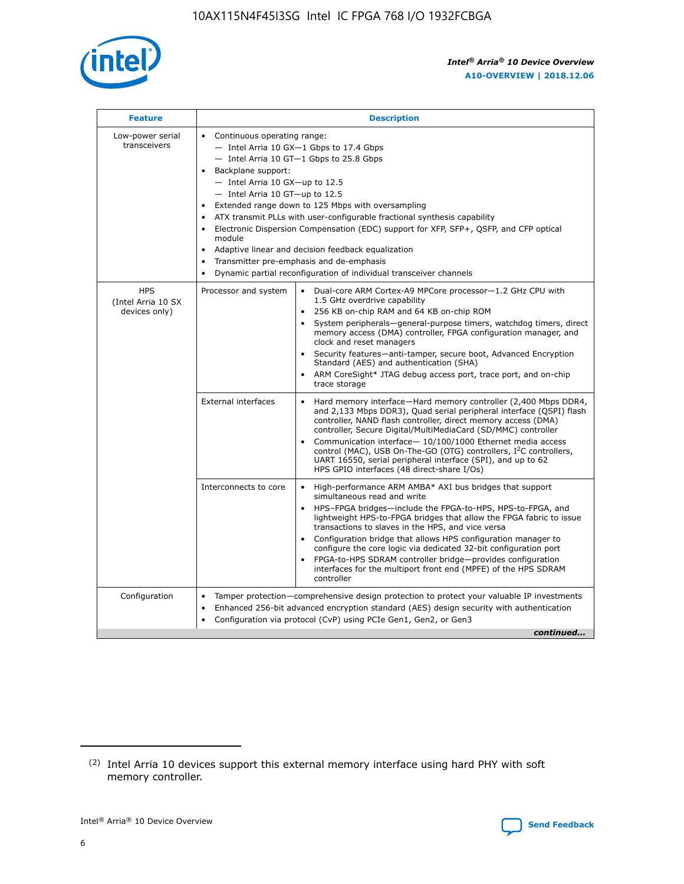

| <b>Feature</b>                                    | <b>Description</b>                                                                                                                                                                                                                                                                                                                                                                                                                                                                                                                                                                                                                           |
|---------------------------------------------------|----------------------------------------------------------------------------------------------------------------------------------------------------------------------------------------------------------------------------------------------------------------------------------------------------------------------------------------------------------------------------------------------------------------------------------------------------------------------------------------------------------------------------------------------------------------------------------------------------------------------------------------------|
| Low-power serial<br>transceivers                  | • Continuous operating range:<br>- Intel Arria 10 GX-1 Gbps to 17.4 Gbps<br>- Intel Arria 10 GT-1 Gbps to 25.8 Gbps<br>Backplane support:<br>$-$ Intel Arria 10 GX-up to 12.5<br>$-$ Intel Arria 10 GT-up to 12.5<br>Extended range down to 125 Mbps with oversampling<br>ATX transmit PLLs with user-configurable fractional synthesis capability<br>Electronic Dispersion Compensation (EDC) support for XFP, SFP+, QSFP, and CFP optical<br>module<br>• Adaptive linear and decision feedback equalization<br>Transmitter pre-emphasis and de-emphasis<br>$\bullet$<br>Dynamic partial reconfiguration of individual transceiver channels |
| <b>HPS</b><br>(Intel Arria 10 SX<br>devices only) | Dual-core ARM Cortex-A9 MPCore processor-1.2 GHz CPU with<br>Processor and system<br>$\bullet$<br>1.5 GHz overdrive capability<br>256 KB on-chip RAM and 64 KB on-chip ROM<br>System peripherals-general-purpose timers, watchdog timers, direct<br>memory access (DMA) controller, FPGA configuration manager, and<br>clock and reset managers<br>Security features-anti-tamper, secure boot, Advanced Encryption<br>$\bullet$<br>Standard (AES) and authentication (SHA)<br>ARM CoreSight* JTAG debug access port, trace port, and on-chip<br>trace storage                                                                                |
|                                                   | <b>External interfaces</b><br>Hard memory interface-Hard memory controller (2,400 Mbps DDR4,<br>$\bullet$<br>and 2,133 Mbps DDR3), Quad serial peripheral interface (QSPI) flash<br>controller, NAND flash controller, direct memory access (DMA)<br>controller, Secure Digital/MultiMediaCard (SD/MMC) controller<br>Communication interface-10/100/1000 Ethernet media access<br>$\bullet$<br>control (MAC), USB On-The-GO (OTG) controllers, I <sup>2</sup> C controllers,<br>UART 16550, serial peripheral interface (SPI), and up to 62<br>HPS GPIO interfaces (48 direct-share I/Os)                                                   |
|                                                   | High-performance ARM AMBA* AXI bus bridges that support<br>Interconnects to core<br>$\bullet$<br>simultaneous read and write<br>HPS-FPGA bridges-include the FPGA-to-HPS, HPS-to-FPGA, and<br>$\bullet$<br>lightweight HPS-to-FPGA bridges that allow the FPGA fabric to issue<br>transactions to slaves in the HPS, and vice versa<br>Configuration bridge that allows HPS configuration manager to<br>configure the core logic via dedicated 32-bit configuration port<br>FPGA-to-HPS SDRAM controller bridge-provides configuration<br>interfaces for the multiport front end (MPFE) of the HPS SDRAM<br>controller                       |
| Configuration                                     | Tamper protection—comprehensive design protection to protect your valuable IP investments<br>Enhanced 256-bit advanced encryption standard (AES) design security with authentication<br>٠<br>Configuration via protocol (CvP) using PCIe Gen1, Gen2, or Gen3<br>continued                                                                                                                                                                                                                                                                                                                                                                    |

<sup>(2)</sup> Intel Arria 10 devices support this external memory interface using hard PHY with soft memory controller.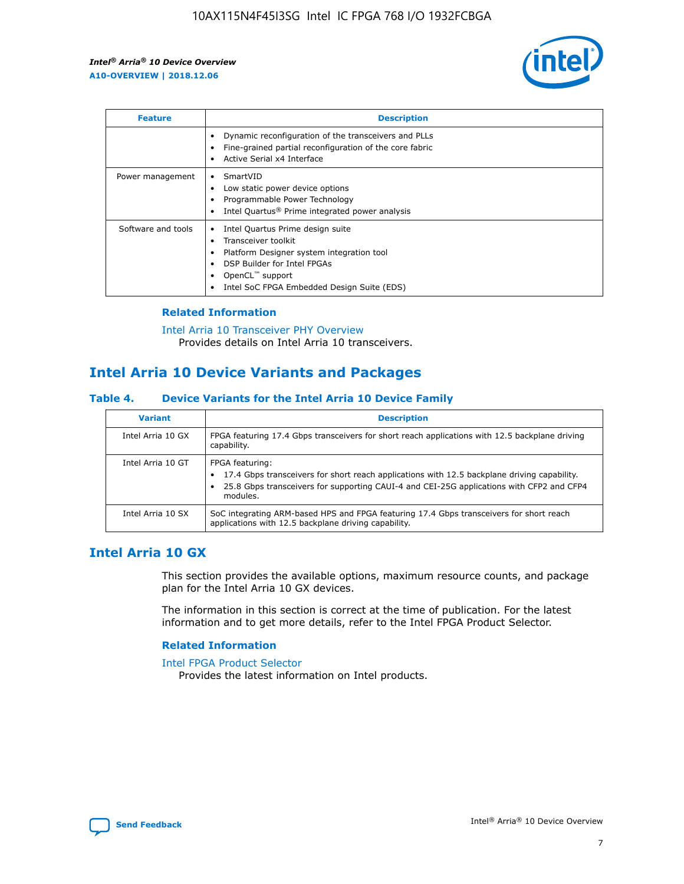

| <b>Feature</b>     | <b>Description</b>                                                                                                                                                                                               |
|--------------------|------------------------------------------------------------------------------------------------------------------------------------------------------------------------------------------------------------------|
|                    | Dynamic reconfiguration of the transceivers and PLLs<br>Fine-grained partial reconfiguration of the core fabric<br>Active Serial x4 Interface<br>$\bullet$                                                       |
| Power management   | SmartVID<br>$\bullet$<br>Low static power device options<br>Programmable Power Technology<br>Intel Quartus <sup>®</sup> Prime integrated power analysis                                                          |
| Software and tools | Intel Quartus Prime design suite<br>Transceiver toolkit<br>Platform Designer system integration tool<br>DSP Builder for Intel FPGAs<br>OpenCL <sup>™</sup> support<br>Intel SoC FPGA Embedded Design Suite (EDS) |

## **Related Information**

[Intel Arria 10 Transceiver PHY Overview](https://www.intel.com/content/www/us/en/programmable/documentation/nik1398707230472.html#nik1398706768037) Provides details on Intel Arria 10 transceivers.

# **Intel Arria 10 Device Variants and Packages**

#### **Table 4. Device Variants for the Intel Arria 10 Device Family**

| <b>Variant</b>    | <b>Description</b>                                                                                                                                                                                                     |
|-------------------|------------------------------------------------------------------------------------------------------------------------------------------------------------------------------------------------------------------------|
| Intel Arria 10 GX | FPGA featuring 17.4 Gbps transceivers for short reach applications with 12.5 backplane driving<br>capability.                                                                                                          |
| Intel Arria 10 GT | FPGA featuring:<br>17.4 Gbps transceivers for short reach applications with 12.5 backplane driving capability.<br>25.8 Gbps transceivers for supporting CAUI-4 and CEI-25G applications with CFP2 and CFP4<br>modules. |
| Intel Arria 10 SX | SoC integrating ARM-based HPS and FPGA featuring 17.4 Gbps transceivers for short reach<br>applications with 12.5 backplane driving capability.                                                                        |

## **Intel Arria 10 GX**

This section provides the available options, maximum resource counts, and package plan for the Intel Arria 10 GX devices.

The information in this section is correct at the time of publication. For the latest information and to get more details, refer to the Intel FPGA Product Selector.

#### **Related Information**

#### [Intel FPGA Product Selector](http://www.altera.com/products/selector/psg-selector.html) Provides the latest information on Intel products.

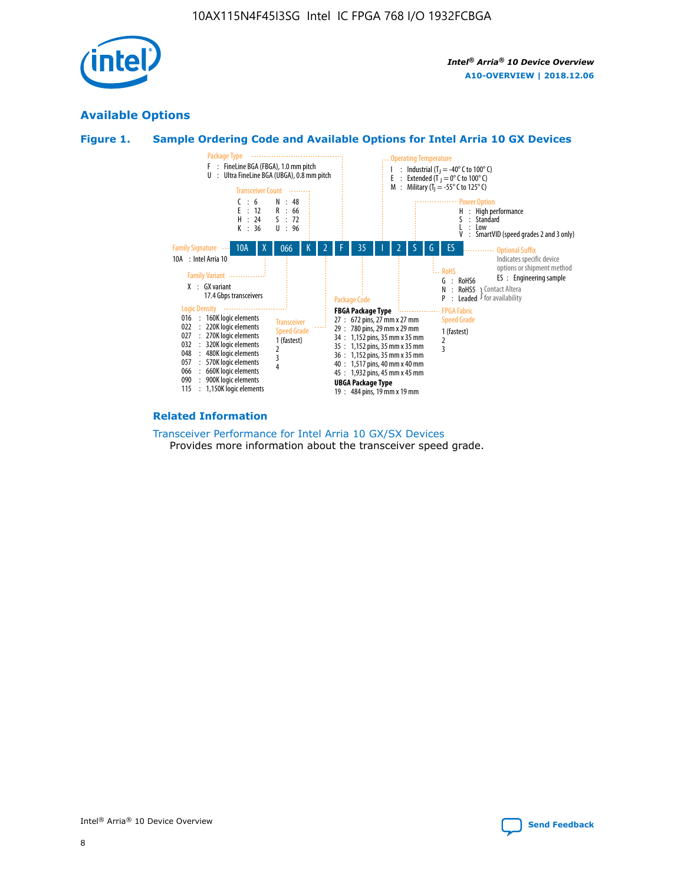

## **Available Options**





#### **Related Information**

[Transceiver Performance for Intel Arria 10 GX/SX Devices](https://www.intel.com/content/www/us/en/programmable/documentation/mcn1413182292568.html#mcn1413213965502) Provides more information about the transceiver speed grade.

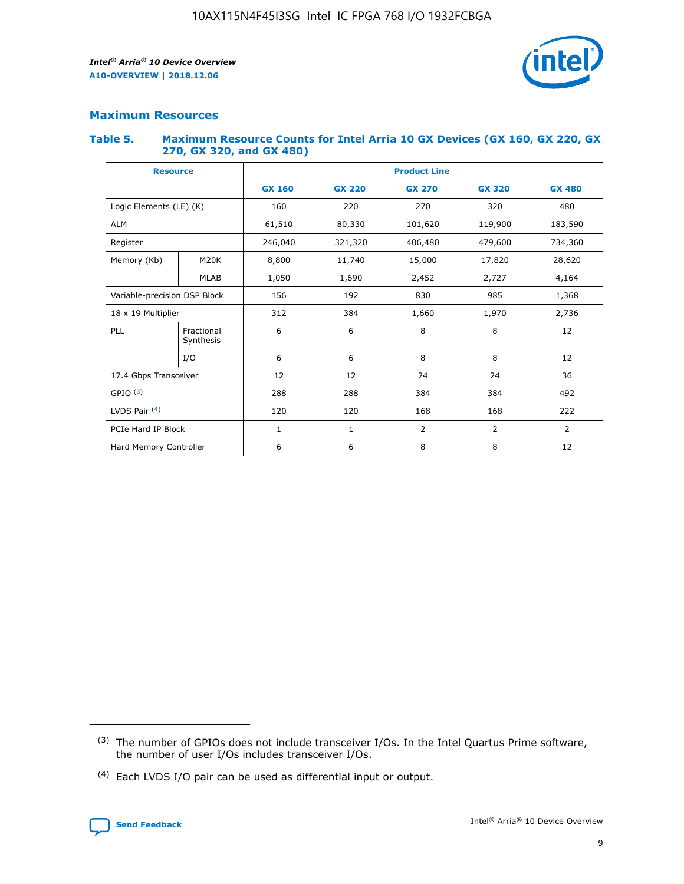

## **Maximum Resources**

#### **Table 5. Maximum Resource Counts for Intel Arria 10 GX Devices (GX 160, GX 220, GX 270, GX 320, and GX 480)**

| <b>Resource</b>         |                              | <b>Product Line</b> |                                                 |                    |                |                |  |  |
|-------------------------|------------------------------|---------------------|-------------------------------------------------|--------------------|----------------|----------------|--|--|
|                         |                              | <b>GX 160</b>       | <b>GX 220</b><br><b>GX 270</b><br><b>GX 320</b> |                    |                | <b>GX 480</b>  |  |  |
| Logic Elements (LE) (K) |                              | 160                 | 220                                             | 270                | 320            | 480            |  |  |
| <b>ALM</b>              |                              | 61,510              | 80,330                                          | 101,620            | 119,900        | 183,590        |  |  |
| Register                |                              | 246,040             | 321,320                                         | 406,480<br>479,600 |                | 734,360        |  |  |
| Memory (Kb)             | M <sub>20</sub> K            | 8,800               | 11,740                                          | 15,000             | 17,820         | 28,620         |  |  |
|                         | <b>MLAB</b>                  | 1,050               | 1,690                                           | 2,452              | 2,727          | 4,164          |  |  |
|                         | Variable-precision DSP Block |                     | 192<br>830<br>985                               |                    |                | 1,368          |  |  |
| 18 x 19 Multiplier      |                              | 312                 | 384                                             | 1,970<br>1,660     |                | 2,736          |  |  |
| PLL                     | Fractional<br>Synthesis      | 6                   | 6                                               | 8                  | 8              | 12             |  |  |
|                         | I/O                          | 6                   | 6                                               | 8                  | 8              | 12             |  |  |
| 17.4 Gbps Transceiver   |                              | 12                  | 12                                              | 24                 | 24             | 36             |  |  |
| GPIO <sup>(3)</sup>     |                              | 288                 | 288                                             | 384<br>384         |                | 492            |  |  |
| LVDS Pair $(4)$         |                              | 120                 | 120                                             | 168                | 168            | 222            |  |  |
| PCIe Hard IP Block      |                              | 1                   | 1                                               | 2                  | $\overline{2}$ | $\overline{2}$ |  |  |
| Hard Memory Controller  |                              | 6                   | 6                                               | 8                  | 8              | 12             |  |  |

<sup>(4)</sup> Each LVDS I/O pair can be used as differential input or output.



<sup>(3)</sup> The number of GPIOs does not include transceiver I/Os. In the Intel Quartus Prime software, the number of user I/Os includes transceiver I/Os.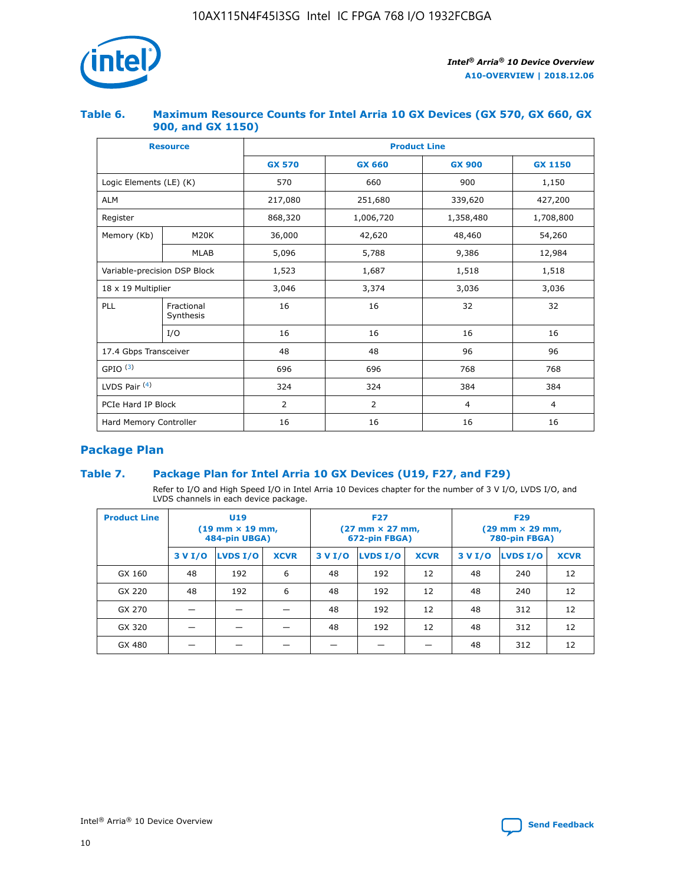

## **Table 6. Maximum Resource Counts for Intel Arria 10 GX Devices (GX 570, GX 660, GX 900, and GX 1150)**

|                              | <b>Resource</b>         | <b>Product Line</b> |                |                |                |  |  |  |
|------------------------------|-------------------------|---------------------|----------------|----------------|----------------|--|--|--|
|                              |                         | <b>GX 570</b>       | <b>GX 660</b>  | <b>GX 900</b>  | <b>GX 1150</b> |  |  |  |
| Logic Elements (LE) (K)      |                         | 570                 | 660            | 900            | 1,150          |  |  |  |
| <b>ALM</b>                   |                         | 217,080             | 251,680        | 339,620        | 427,200        |  |  |  |
| Register                     |                         | 868,320             | 1,006,720      | 1,358,480      | 1,708,800      |  |  |  |
| Memory (Kb)                  | <b>M20K</b>             | 36,000              | 42,620         | 48,460         | 54,260         |  |  |  |
|                              | <b>MLAB</b>             | 5,096               | 5,788          | 9,386          | 12,984         |  |  |  |
| Variable-precision DSP Block |                         | 1,523               | 1,687          | 1,518          | 1,518          |  |  |  |
| 18 x 19 Multiplier           |                         | 3,046               | 3,374          | 3,036          | 3,036          |  |  |  |
| PLL                          | Fractional<br>Synthesis | 16                  | 16             | 32             | 32             |  |  |  |
|                              | I/O                     | 16                  | 16             | 16             | 16             |  |  |  |
| 17.4 Gbps Transceiver        |                         | 48                  | 48             | 96             | 96             |  |  |  |
| GPIO <sup>(3)</sup>          |                         | 696                 | 696            | 768            | 768            |  |  |  |
| LVDS Pair $(4)$              |                         | 324                 | 324<br>384     |                | 384            |  |  |  |
| PCIe Hard IP Block           |                         | 2                   | $\overline{2}$ | $\overline{4}$ | $\overline{4}$ |  |  |  |
| Hard Memory Controller       |                         | 16                  | 16             | 16             | 16             |  |  |  |

## **Package Plan**

## **Table 7. Package Plan for Intel Arria 10 GX Devices (U19, F27, and F29)**

Refer to I/O and High Speed I/O in Intel Arria 10 Devices chapter for the number of 3 V I/O, LVDS I/O, and LVDS channels in each device package.

| <b>Product Line</b> | U <sub>19</sub><br>$(19 \text{ mm} \times 19 \text{ mm})$<br>484-pin UBGA) |          |             |         | <b>F27</b><br>(27 mm × 27 mm,<br>672-pin FBGA) |             | <b>F29</b><br>(29 mm × 29 mm,<br>780-pin FBGA) |          |             |  |
|---------------------|----------------------------------------------------------------------------|----------|-------------|---------|------------------------------------------------|-------------|------------------------------------------------|----------|-------------|--|
|                     | 3 V I/O                                                                    | LVDS I/O | <b>XCVR</b> | 3 V I/O | LVDS I/O                                       | <b>XCVR</b> | 3 V I/O                                        | LVDS I/O | <b>XCVR</b> |  |
| GX 160              | 48                                                                         | 192      | 6           | 48      | 192                                            | 12          | 48                                             | 240      | 12          |  |
| GX 220              | 48                                                                         | 192      | 6           | 48      | 192                                            | 12          | 48                                             | 240      | 12          |  |
| GX 270              |                                                                            |          |             | 48      | 192                                            | 12          | 48                                             | 312      | 12          |  |
| GX 320              |                                                                            |          |             | 48      | 192                                            | 12          | 48                                             | 312      | 12          |  |
| GX 480              |                                                                            |          |             |         |                                                |             | 48                                             | 312      | 12          |  |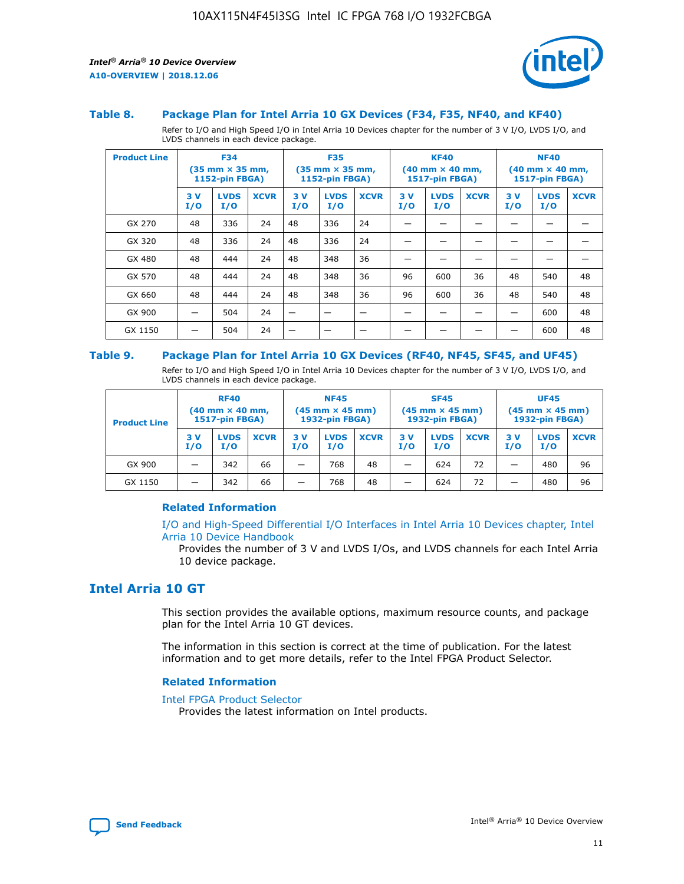

#### **Table 8. Package Plan for Intel Arria 10 GX Devices (F34, F35, NF40, and KF40)**

Refer to I/O and High Speed I/O in Intel Arria 10 Devices chapter for the number of 3 V I/O, LVDS I/O, and LVDS channels in each device package.

| <b>Product Line</b> | <b>F34</b><br>$(35 \text{ mm} \times 35 \text{ mm})$<br><b>1152-pin FBGA)</b> |                    | <b>F35</b><br>$(35 \text{ mm} \times 35 \text{ mm})$<br><b>1152-pin FBGA)</b> |           | <b>KF40</b><br>$(40$ mm $\times$ 40 mm,<br>1517-pin FBGA) |             |           | <b>NF40</b><br>$(40 \text{ mm} \times 40 \text{ mm})$<br>1517-pin FBGA) |             |           |                    |             |
|---------------------|-------------------------------------------------------------------------------|--------------------|-------------------------------------------------------------------------------|-----------|-----------------------------------------------------------|-------------|-----------|-------------------------------------------------------------------------|-------------|-----------|--------------------|-------------|
|                     | 3V<br>I/O                                                                     | <b>LVDS</b><br>I/O | <b>XCVR</b>                                                                   | 3V<br>I/O | <b>LVDS</b><br>I/O                                        | <b>XCVR</b> | 3V<br>I/O | <b>LVDS</b><br>I/O                                                      | <b>XCVR</b> | 3V<br>I/O | <b>LVDS</b><br>I/O | <b>XCVR</b> |
| GX 270              | 48                                                                            | 336                | 24                                                                            | 48        | 336                                                       | 24          |           |                                                                         |             |           |                    |             |
| GX 320              | 48                                                                            | 336                | 24                                                                            | 48        | 336                                                       | 24          |           |                                                                         |             |           |                    |             |
| GX 480              | 48                                                                            | 444                | 24                                                                            | 48        | 348                                                       | 36          |           |                                                                         |             |           |                    |             |
| GX 570              | 48                                                                            | 444                | 24                                                                            | 48        | 348                                                       | 36          | 96        | 600                                                                     | 36          | 48        | 540                | 48          |
| GX 660              | 48                                                                            | 444                | 24                                                                            | 48        | 348                                                       | 36          | 96        | 600                                                                     | 36          | 48        | 540                | 48          |
| GX 900              |                                                                               | 504                | 24                                                                            | –         |                                                           | -           |           |                                                                         |             |           | 600                | 48          |
| GX 1150             |                                                                               | 504                | 24                                                                            |           |                                                           |             |           |                                                                         |             |           | 600                | 48          |

#### **Table 9. Package Plan for Intel Arria 10 GX Devices (RF40, NF45, SF45, and UF45)**

Refer to I/O and High Speed I/O in Intel Arria 10 Devices chapter for the number of 3 V I/O, LVDS I/O, and LVDS channels in each device package.

| <b>Product Line</b> | <b>RF40</b><br>$(40 \text{ mm} \times 40 \text{ mm})$<br>1517-pin FBGA) |                    | <b>NF45</b><br>$(45 \text{ mm} \times 45 \text{ mm})$<br><b>1932-pin FBGA)</b> |           |                    | <b>SF45</b><br>$(45 \text{ mm} \times 45 \text{ mm})$<br><b>1932-pin FBGA)</b> |           |                    | <b>UF45</b><br>$(45 \text{ mm} \times 45 \text{ mm})$<br><b>1932-pin FBGA)</b> |           |                    |             |
|---------------------|-------------------------------------------------------------------------|--------------------|--------------------------------------------------------------------------------|-----------|--------------------|--------------------------------------------------------------------------------|-----------|--------------------|--------------------------------------------------------------------------------|-----------|--------------------|-------------|
|                     | 3V<br>I/O                                                               | <b>LVDS</b><br>I/O | <b>XCVR</b>                                                                    | 3V<br>I/O | <b>LVDS</b><br>I/O | <b>XCVR</b>                                                                    | 3V<br>I/O | <b>LVDS</b><br>I/O | <b>XCVR</b>                                                                    | 3V<br>I/O | <b>LVDS</b><br>I/O | <b>XCVR</b> |
| GX 900              |                                                                         | 342                | 66                                                                             | -         | 768                | 48                                                                             | _         | 624                | 72                                                                             |           | 480                | 96          |
| GX 1150             |                                                                         | 342                | 66                                                                             | -         | 768                | 48                                                                             | -         | 624                | 72                                                                             |           | 480                | 96          |

## **Related Information**

[I/O and High-Speed Differential I/O Interfaces in Intel Arria 10 Devices chapter, Intel](https://www.intel.com/content/www/us/en/programmable/documentation/sam1403482614086.html#sam1403482030321) [Arria 10 Device Handbook](https://www.intel.com/content/www/us/en/programmable/documentation/sam1403482614086.html#sam1403482030321)

Provides the number of 3 V and LVDS I/Os, and LVDS channels for each Intel Arria 10 device package.

## **Intel Arria 10 GT**

This section provides the available options, maximum resource counts, and package plan for the Intel Arria 10 GT devices.

The information in this section is correct at the time of publication. For the latest information and to get more details, refer to the Intel FPGA Product Selector.

#### **Related Information**

#### [Intel FPGA Product Selector](http://www.altera.com/products/selector/psg-selector.html)

Provides the latest information on Intel products.

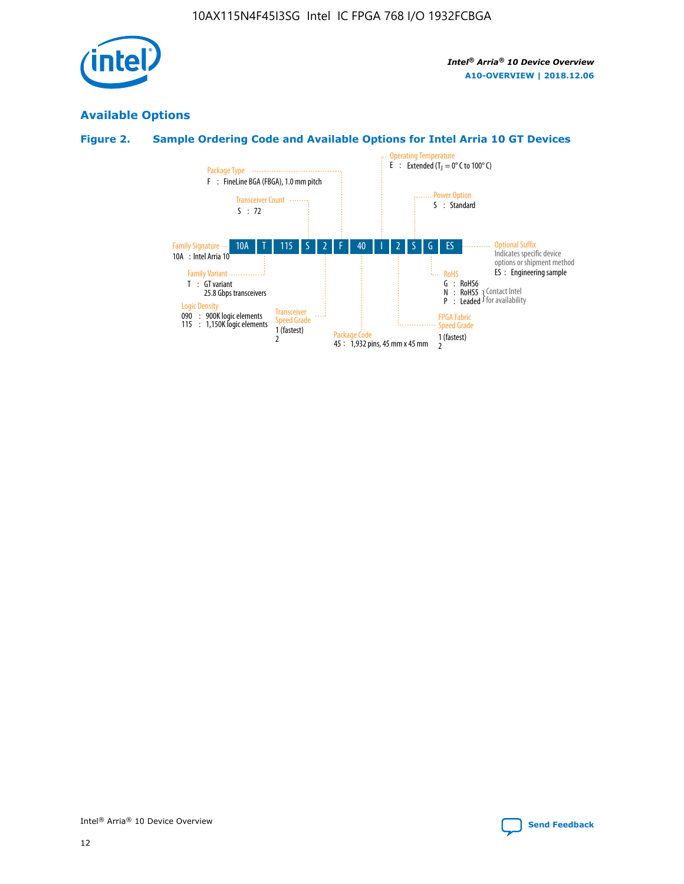

## **Available Options**

## **Figure 2. Sample Ordering Code and Available Options for Intel Arria 10 GT Devices**

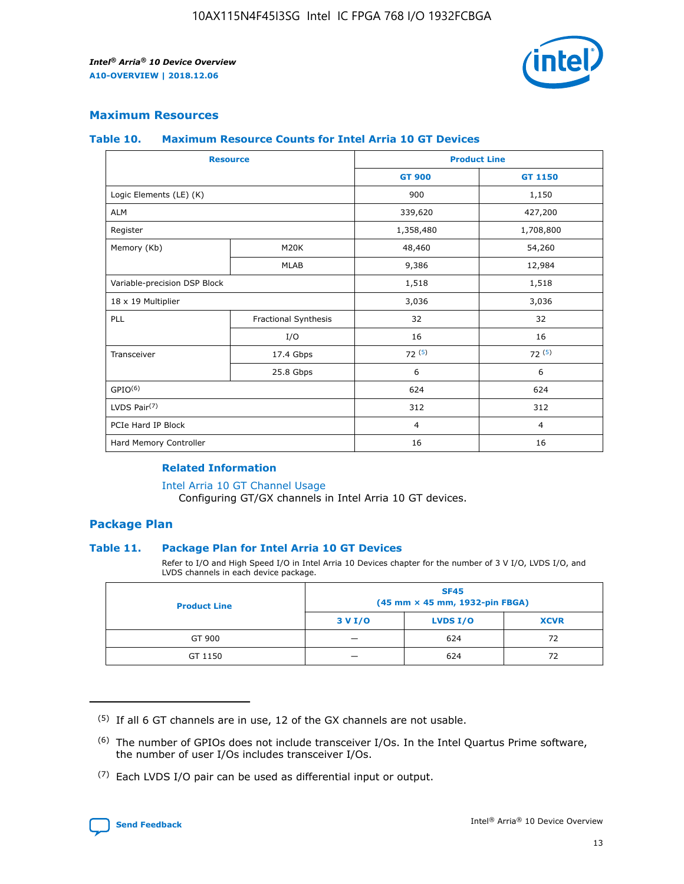

## **Maximum Resources**

#### **Table 10. Maximum Resource Counts for Intel Arria 10 GT Devices**

| <b>Resource</b>              |                      | <b>Product Line</b> |                |  |
|------------------------------|----------------------|---------------------|----------------|--|
|                              |                      | <b>GT 900</b>       | <b>GT 1150</b> |  |
| Logic Elements (LE) (K)      |                      | 900                 | 1,150          |  |
| <b>ALM</b>                   |                      | 339,620             | 427,200        |  |
| Register                     |                      | 1,358,480           | 1,708,800      |  |
| Memory (Kb)                  | M20K                 | 48,460              | 54,260         |  |
|                              | <b>MLAB</b>          | 9,386               | 12,984         |  |
| Variable-precision DSP Block |                      | 1,518               | 1,518          |  |
| 18 x 19 Multiplier           |                      | 3,036               | 3,036          |  |
| PLL                          | Fractional Synthesis | 32                  | 32             |  |
|                              | I/O                  | 16                  | 16             |  |
| Transceiver                  | 17.4 Gbps            | 72(5)               | 72(5)          |  |
|                              | 25.8 Gbps            | 6                   | 6              |  |
| GPIO <sup>(6)</sup>          |                      | 624                 | 624            |  |
| LVDS Pair $(7)$              |                      | 312                 | 312            |  |
| PCIe Hard IP Block           |                      | $\overline{4}$      | $\overline{4}$ |  |
| Hard Memory Controller       |                      | 16                  | 16             |  |

#### **Related Information**

#### [Intel Arria 10 GT Channel Usage](https://www.intel.com/content/www/us/en/programmable/documentation/nik1398707230472.html#nik1398707008178)

Configuring GT/GX channels in Intel Arria 10 GT devices.

## **Package Plan**

## **Table 11. Package Plan for Intel Arria 10 GT Devices**

Refer to I/O and High Speed I/O in Intel Arria 10 Devices chapter for the number of 3 V I/O, LVDS I/O, and LVDS channels in each device package.

| <b>Product Line</b> | <b>SF45</b><br>(45 mm × 45 mm, 1932-pin FBGA) |                 |             |  |  |  |
|---------------------|-----------------------------------------------|-----------------|-------------|--|--|--|
|                     | 3 V I/O                                       | <b>LVDS I/O</b> | <b>XCVR</b> |  |  |  |
| GT 900              |                                               | 624             | 72          |  |  |  |
| GT 1150             |                                               | 624             | 72          |  |  |  |

<sup>(7)</sup> Each LVDS I/O pair can be used as differential input or output.



 $(5)$  If all 6 GT channels are in use, 12 of the GX channels are not usable.

<sup>(6)</sup> The number of GPIOs does not include transceiver I/Os. In the Intel Quartus Prime software, the number of user I/Os includes transceiver I/Os.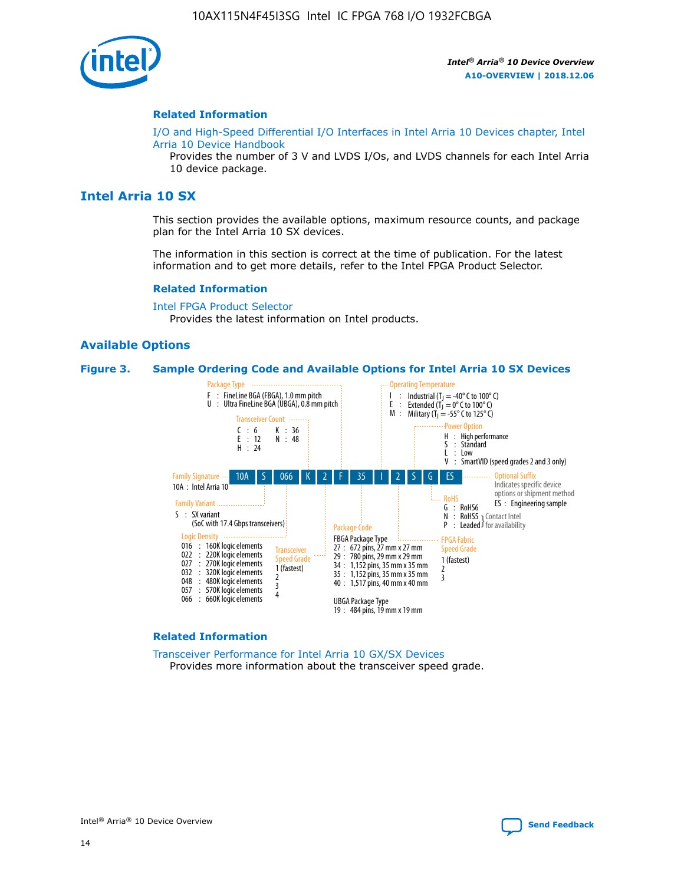

#### **Related Information**

[I/O and High-Speed Differential I/O Interfaces in Intel Arria 10 Devices chapter, Intel](https://www.intel.com/content/www/us/en/programmable/documentation/sam1403482614086.html#sam1403482030321) [Arria 10 Device Handbook](https://www.intel.com/content/www/us/en/programmable/documentation/sam1403482614086.html#sam1403482030321)

Provides the number of 3 V and LVDS I/Os, and LVDS channels for each Intel Arria 10 device package.

## **Intel Arria 10 SX**

This section provides the available options, maximum resource counts, and package plan for the Intel Arria 10 SX devices.

The information in this section is correct at the time of publication. For the latest information and to get more details, refer to the Intel FPGA Product Selector.

#### **Related Information**

[Intel FPGA Product Selector](http://www.altera.com/products/selector/psg-selector.html) Provides the latest information on Intel products.

## **Available Options**

#### **Figure 3. Sample Ordering Code and Available Options for Intel Arria 10 SX Devices**



#### **Related Information**

[Transceiver Performance for Intel Arria 10 GX/SX Devices](https://www.intel.com/content/www/us/en/programmable/documentation/mcn1413182292568.html#mcn1413213965502) Provides more information about the transceiver speed grade.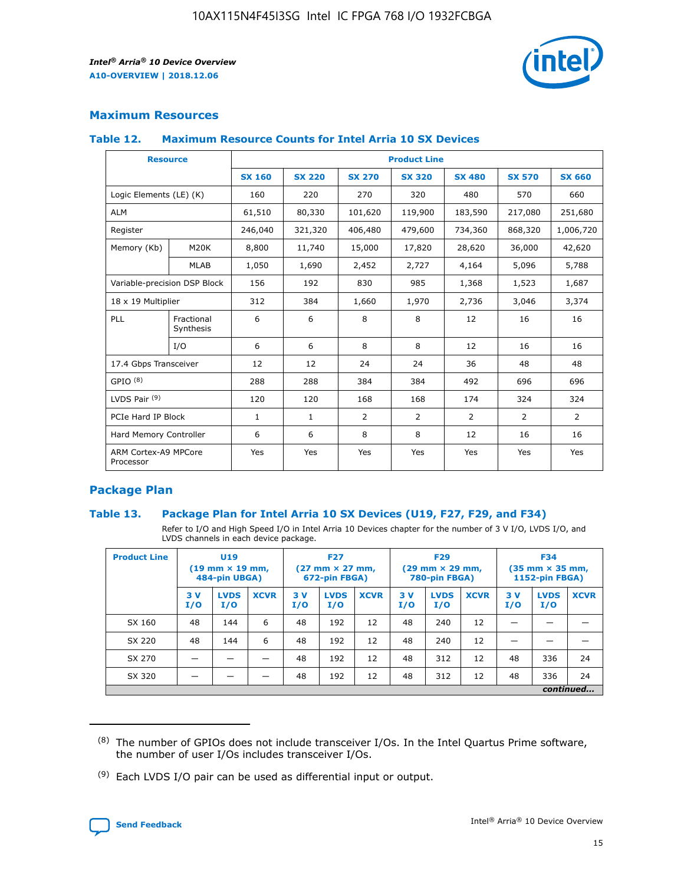

## **Maximum Resources**

## **Table 12. Maximum Resource Counts for Intel Arria 10 SX Devices**

| <b>Resource</b>                   |                         | <b>Product Line</b> |               |                |                |               |                |               |  |  |  |
|-----------------------------------|-------------------------|---------------------|---------------|----------------|----------------|---------------|----------------|---------------|--|--|--|
|                                   |                         | <b>SX 160</b>       | <b>SX 220</b> | <b>SX 270</b>  | <b>SX 320</b>  | <b>SX 480</b> | <b>SX 570</b>  | <b>SX 660</b> |  |  |  |
| Logic Elements (LE) (K)           |                         | 160                 | 220           | 270            | 320            | 480           | 570            | 660           |  |  |  |
| <b>ALM</b>                        |                         | 61,510              | 80,330        | 101,620        | 119,900        | 183,590       | 217,080        | 251,680       |  |  |  |
| Register                          |                         | 246,040             | 321,320       | 406,480        | 479,600        | 734,360       | 868,320        | 1,006,720     |  |  |  |
| Memory (Kb)                       | M <sub>20</sub> K       | 8,800               | 11,740        | 15,000         | 17,820         | 28,620        | 36,000         | 42,620        |  |  |  |
|                                   | <b>MLAB</b>             | 1,050               | 1,690         | 2,452          | 2,727          | 4,164         | 5,096          | 5,788         |  |  |  |
| Variable-precision DSP Block      |                         | 156                 | 192           | 830            | 985            | 1,368         | 1,523          | 1,687         |  |  |  |
| 18 x 19 Multiplier                |                         | 312                 | 384           | 1,660          | 1,970          | 2,736         | 3,046          | 3,374         |  |  |  |
| PLL                               | Fractional<br>Synthesis | 6                   | 6             | 8              | 8              | 12            | 16             | 16            |  |  |  |
|                                   | I/O                     | 6                   | 6             | 8              | 8              | 12            | 16             | 16            |  |  |  |
| 17.4 Gbps Transceiver             |                         | 12                  | 12            | 24             | 24             | 36            | 48             | 48            |  |  |  |
| GPIO <sup>(8)</sup>               |                         | 288                 | 288           | 384            | 384            | 492           | 696            | 696           |  |  |  |
| LVDS Pair $(9)$                   |                         | 120                 | 120           | 168            | 168            | 174           | 324            | 324           |  |  |  |
| PCIe Hard IP Block                |                         | $\mathbf{1}$        | 1             | $\overline{2}$ | $\overline{2}$ | 2             | $\overline{2}$ | 2             |  |  |  |
| Hard Memory Controller            |                         | 6                   | 6             | 8              | 8              | 12            | 16             | 16            |  |  |  |
| ARM Cortex-A9 MPCore<br>Processor |                         | Yes                 | Yes           | Yes            | Yes            | Yes           | Yes            | Yes           |  |  |  |

## **Package Plan**

## **Table 13. Package Plan for Intel Arria 10 SX Devices (U19, F27, F29, and F34)**

Refer to I/O and High Speed I/O in Intel Arria 10 Devices chapter for the number of 3 V I/O, LVDS I/O, and LVDS channels in each device package.

| <b>Product Line</b> | U <sub>19</sub><br>$(19 \text{ mm} \times 19 \text{ mm})$<br>484-pin UBGA) |                    | <b>F27</b><br>$(27 \text{ mm} \times 27 \text{ mm})$<br>672-pin FBGA) |           | <b>F29</b><br>$(29 \text{ mm} \times 29 \text{ mm})$<br>780-pin FBGA) |             |            | <b>F34</b><br>$(35 \text{ mm} \times 35 \text{ mm})$<br><b>1152-pin FBGA)</b> |             |           |                    |             |
|---------------------|----------------------------------------------------------------------------|--------------------|-----------------------------------------------------------------------|-----------|-----------------------------------------------------------------------|-------------|------------|-------------------------------------------------------------------------------|-------------|-----------|--------------------|-------------|
|                     | 3V<br>I/O                                                                  | <b>LVDS</b><br>I/O | <b>XCVR</b>                                                           | 3V<br>I/O | <b>LVDS</b><br>I/O                                                    | <b>XCVR</b> | 3 V<br>I/O | <b>LVDS</b><br>I/O                                                            | <b>XCVR</b> | 3V<br>I/O | <b>LVDS</b><br>I/O | <b>XCVR</b> |
| SX 160              | 48                                                                         | 144                | 6                                                                     | 48        | 192                                                                   | 12          | 48         | 240                                                                           | 12          | –         |                    |             |
| SX 220              | 48                                                                         | 144                | 6                                                                     | 48        | 192                                                                   | 12          | 48         | 240                                                                           | 12          |           |                    |             |
| SX 270              |                                                                            |                    |                                                                       | 48        | 192                                                                   | 12          | 48         | 312                                                                           | 12          | 48        | 336                | 24          |
| SX 320              |                                                                            |                    |                                                                       | 48        | 192                                                                   | 12          | 48         | 312                                                                           | 12          | 48        | 336                | 24          |
|                     | continued                                                                  |                    |                                                                       |           |                                                                       |             |            |                                                                               |             |           |                    |             |

 $(8)$  The number of GPIOs does not include transceiver I/Os. In the Intel Quartus Prime software, the number of user I/Os includes transceiver I/Os.

 $(9)$  Each LVDS I/O pair can be used as differential input or output.

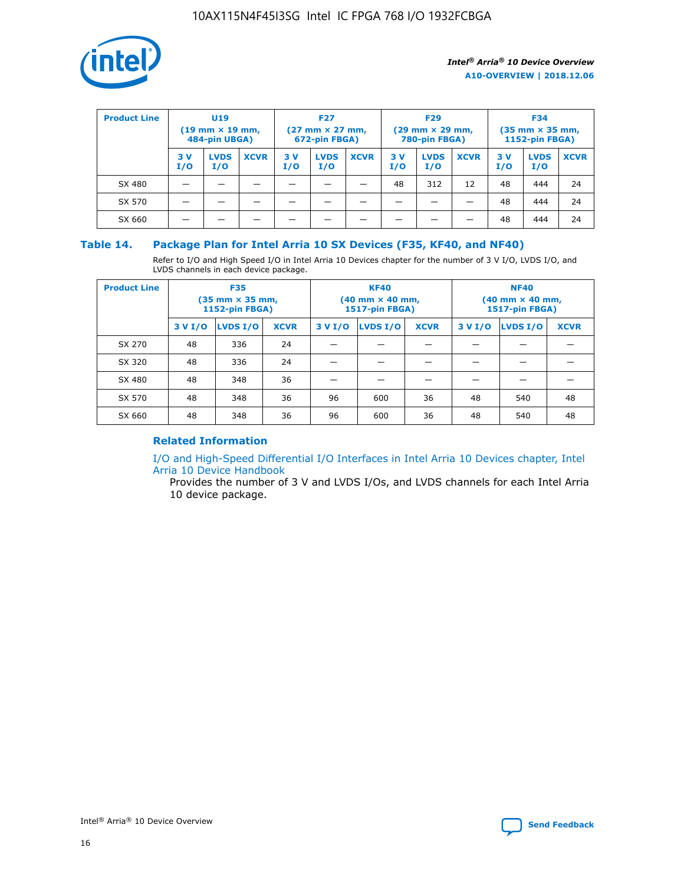

| <b>Product Line</b> | U <sub>19</sub><br>$(19 \text{ mm} \times 19 \text{ mm})$<br>484-pin UBGA) |                    | <b>F27</b><br>$(27 \text{ mm} \times 27 \text{ mm})$<br>672-pin FBGA) |           | <b>F29</b><br>$(29$ mm $\times$ 29 mm,<br>780-pin FBGA) |             |           | <b>F34</b><br>$(35$ mm $\times$ 35 mm,<br><b>1152-pin FBGA)</b> |             |            |                    |             |
|---------------------|----------------------------------------------------------------------------|--------------------|-----------------------------------------------------------------------|-----------|---------------------------------------------------------|-------------|-----------|-----------------------------------------------------------------|-------------|------------|--------------------|-------------|
|                     | 3 V<br>I/O                                                                 | <b>LVDS</b><br>I/O | <b>XCVR</b>                                                           | 3V<br>I/O | <b>LVDS</b><br>I/O                                      | <b>XCVR</b> | 3V<br>I/O | <b>LVDS</b><br>I/O                                              | <b>XCVR</b> | 3 V<br>I/O | <b>LVDS</b><br>I/O | <b>XCVR</b> |
| SX 480              |                                                                            |                    |                                                                       |           |                                                         |             | 48        | 312                                                             | 12          | 48         | 444                | 24          |
| SX 570              |                                                                            |                    |                                                                       |           |                                                         |             |           |                                                                 |             | 48         | 444                | 24          |
| SX 660              |                                                                            |                    |                                                                       |           |                                                         |             |           |                                                                 |             | 48         | 444                | 24          |

## **Table 14. Package Plan for Intel Arria 10 SX Devices (F35, KF40, and NF40)**

Refer to I/O and High Speed I/O in Intel Arria 10 Devices chapter for the number of 3 V I/O, LVDS I/O, and LVDS channels in each device package.

| <b>Product Line</b> | <b>F35</b><br>$(35 \text{ mm} \times 35 \text{ mm})$<br><b>1152-pin FBGA)</b> |          |             |                                           | <b>KF40</b><br>(40 mm × 40 mm,<br>1517-pin FBGA) |    | <b>NF40</b><br>$(40 \text{ mm} \times 40 \text{ mm})$<br>1517-pin FBGA) |          |             |  |
|---------------------|-------------------------------------------------------------------------------|----------|-------------|-------------------------------------------|--------------------------------------------------|----|-------------------------------------------------------------------------|----------|-------------|--|
|                     | 3 V I/O                                                                       | LVDS I/O | <b>XCVR</b> | <b>LVDS I/O</b><br><b>XCVR</b><br>3 V I/O |                                                  |    | 3 V I/O                                                                 | LVDS I/O | <b>XCVR</b> |  |
| SX 270              | 48                                                                            | 336      | 24          |                                           |                                                  |    |                                                                         |          |             |  |
| SX 320              | 48                                                                            | 336      | 24          |                                           |                                                  |    |                                                                         |          |             |  |
| SX 480              | 48                                                                            | 348      | 36          |                                           |                                                  |    |                                                                         |          |             |  |
| SX 570              | 48                                                                            | 348      | 36          | 96                                        | 600                                              | 36 | 48                                                                      | 540      | 48          |  |
| SX 660              | 48                                                                            | 348      | 36          | 96                                        | 600                                              | 36 | 48                                                                      | 540      | 48          |  |

## **Related Information**

[I/O and High-Speed Differential I/O Interfaces in Intel Arria 10 Devices chapter, Intel](https://www.intel.com/content/www/us/en/programmable/documentation/sam1403482614086.html#sam1403482030321) [Arria 10 Device Handbook](https://www.intel.com/content/www/us/en/programmable/documentation/sam1403482614086.html#sam1403482030321)

Provides the number of 3 V and LVDS I/Os, and LVDS channels for each Intel Arria 10 device package.

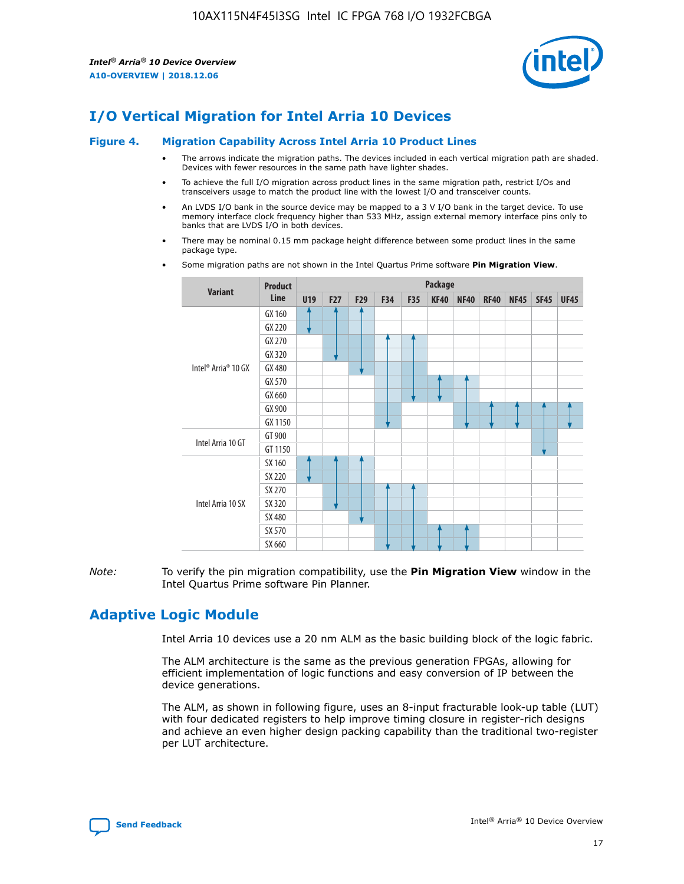

# **I/O Vertical Migration for Intel Arria 10 Devices**

#### **Figure 4. Migration Capability Across Intel Arria 10 Product Lines**

- The arrows indicate the migration paths. The devices included in each vertical migration path are shaded. Devices with fewer resources in the same path have lighter shades.
- To achieve the full I/O migration across product lines in the same migration path, restrict I/Os and transceivers usage to match the product line with the lowest I/O and transceiver counts.
- An LVDS I/O bank in the source device may be mapped to a 3 V I/O bank in the target device. To use memory interface clock frequency higher than 533 MHz, assign external memory interface pins only to banks that are LVDS I/O in both devices.
- There may be nominal 0.15 mm package height difference between some product lines in the same package type.
	- **Variant Product Line Package U19 F27 F29 F34 F35 KF40 NF40 RF40 NF45 SF45 UF45** Intel® Arria® 10 GX GX 160 GX 220 GX 270 GX 320 GX 480 GX 570 GX 660 GX 900 GX 1150 Intel Arria 10 GT GT 900 GT 1150 Intel Arria 10 SX SX 160 SX 220 SX 270 SX 320 SX 480 SX 570 SX 660
- Some migration paths are not shown in the Intel Quartus Prime software **Pin Migration View**.

*Note:* To verify the pin migration compatibility, use the **Pin Migration View** window in the Intel Quartus Prime software Pin Planner.

# **Adaptive Logic Module**

Intel Arria 10 devices use a 20 nm ALM as the basic building block of the logic fabric.

The ALM architecture is the same as the previous generation FPGAs, allowing for efficient implementation of logic functions and easy conversion of IP between the device generations.

The ALM, as shown in following figure, uses an 8-input fracturable look-up table (LUT) with four dedicated registers to help improve timing closure in register-rich designs and achieve an even higher design packing capability than the traditional two-register per LUT architecture.

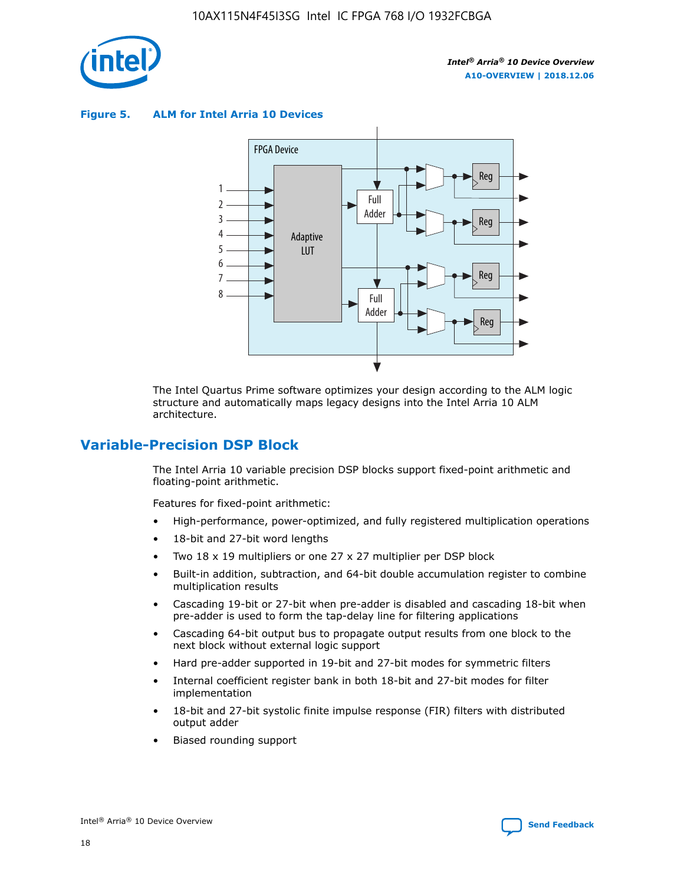

**Figure 5. ALM for Intel Arria 10 Devices**



The Intel Quartus Prime software optimizes your design according to the ALM logic structure and automatically maps legacy designs into the Intel Arria 10 ALM architecture.

# **Variable-Precision DSP Block**

The Intel Arria 10 variable precision DSP blocks support fixed-point arithmetic and floating-point arithmetic.

Features for fixed-point arithmetic:

- High-performance, power-optimized, and fully registered multiplication operations
- 18-bit and 27-bit word lengths
- Two 18 x 19 multipliers or one 27 x 27 multiplier per DSP block
- Built-in addition, subtraction, and 64-bit double accumulation register to combine multiplication results
- Cascading 19-bit or 27-bit when pre-adder is disabled and cascading 18-bit when pre-adder is used to form the tap-delay line for filtering applications
- Cascading 64-bit output bus to propagate output results from one block to the next block without external logic support
- Hard pre-adder supported in 19-bit and 27-bit modes for symmetric filters
- Internal coefficient register bank in both 18-bit and 27-bit modes for filter implementation
- 18-bit and 27-bit systolic finite impulse response (FIR) filters with distributed output adder
- Biased rounding support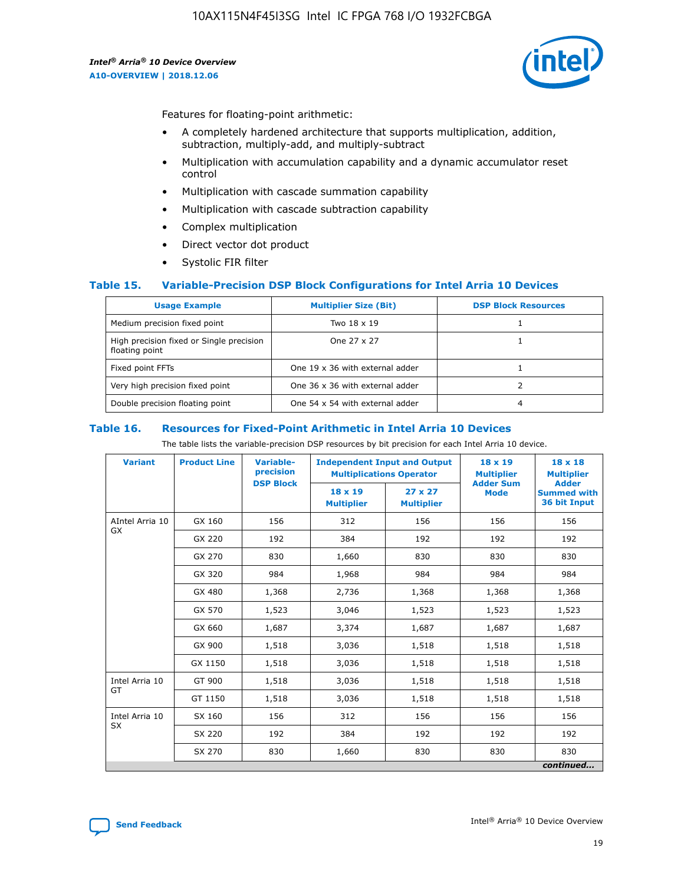

Features for floating-point arithmetic:

- A completely hardened architecture that supports multiplication, addition, subtraction, multiply-add, and multiply-subtract
- Multiplication with accumulation capability and a dynamic accumulator reset control
- Multiplication with cascade summation capability
- Multiplication with cascade subtraction capability
- Complex multiplication
- Direct vector dot product
- Systolic FIR filter

## **Table 15. Variable-Precision DSP Block Configurations for Intel Arria 10 Devices**

| <b>Usage Example</b>                                       | <b>Multiplier Size (Bit)</b>    | <b>DSP Block Resources</b> |
|------------------------------------------------------------|---------------------------------|----------------------------|
| Medium precision fixed point                               | Two 18 x 19                     |                            |
| High precision fixed or Single precision<br>floating point | One 27 x 27                     |                            |
| Fixed point FFTs                                           | One 19 x 36 with external adder |                            |
| Very high precision fixed point                            | One 36 x 36 with external adder |                            |
| Double precision floating point                            | One 54 x 54 with external adder | 4                          |

#### **Table 16. Resources for Fixed-Point Arithmetic in Intel Arria 10 Devices**

The table lists the variable-precision DSP resources by bit precision for each Intel Arria 10 device.

| <b>Variant</b>  | <b>Product Line</b> | <b>Variable-</b><br>precision<br><b>DSP Block</b> | <b>Independent Input and Output</b><br><b>Multiplications Operator</b> |                                     | 18 x 19<br><b>Multiplier</b><br><b>Adder Sum</b> | $18 \times 18$<br><b>Multiplier</b><br><b>Adder</b> |
|-----------------|---------------------|---------------------------------------------------|------------------------------------------------------------------------|-------------------------------------|--------------------------------------------------|-----------------------------------------------------|
|                 |                     |                                                   | 18 x 19<br><b>Multiplier</b>                                           | $27 \times 27$<br><b>Multiplier</b> | <b>Mode</b>                                      | <b>Summed with</b><br>36 bit Input                  |
| AIntel Arria 10 | GX 160              | 156                                               | 312                                                                    | 156                                 | 156                                              | 156                                                 |
| GX              | GX 220              | 192                                               | 384                                                                    | 192                                 | 192                                              | 192                                                 |
|                 | GX 270              | 830                                               | 1,660                                                                  | 830                                 | 830                                              | 830                                                 |
|                 | GX 320              | 984                                               | 1,968                                                                  | 984                                 | 984                                              | 984                                                 |
|                 | GX 480              | 1,368                                             | 2,736                                                                  | 1,368                               | 1,368                                            | 1,368                                               |
|                 | GX 570              | 1,523                                             | 3,046                                                                  | 1,523                               | 1,523                                            | 1,523                                               |
|                 | GX 660              | 1,687                                             | 3,374                                                                  | 1,687                               | 1,687                                            | 1,687                                               |
|                 | GX 900              | 1,518                                             | 3,036                                                                  | 1,518                               | 1,518                                            | 1,518                                               |
|                 | GX 1150             | 1,518                                             | 3,036                                                                  | 1,518                               | 1,518                                            | 1,518                                               |
| Intel Arria 10  | GT 900              | 1,518                                             | 3,036                                                                  | 1,518                               | 1,518                                            | 1,518                                               |
| GT              | GT 1150             | 1,518                                             | 3,036                                                                  | 1,518                               | 1,518                                            | 1,518                                               |
| Intel Arria 10  | SX 160              | 156                                               | 312                                                                    | 156                                 | 156                                              | 156                                                 |
| <b>SX</b>       | SX 220              | 192                                               | 384                                                                    | 192                                 | 192                                              | 192                                                 |
|                 | SX 270              | 830                                               | 1,660                                                                  | 830                                 | 830                                              | 830                                                 |
|                 |                     |                                                   |                                                                        |                                     |                                                  | continued                                           |

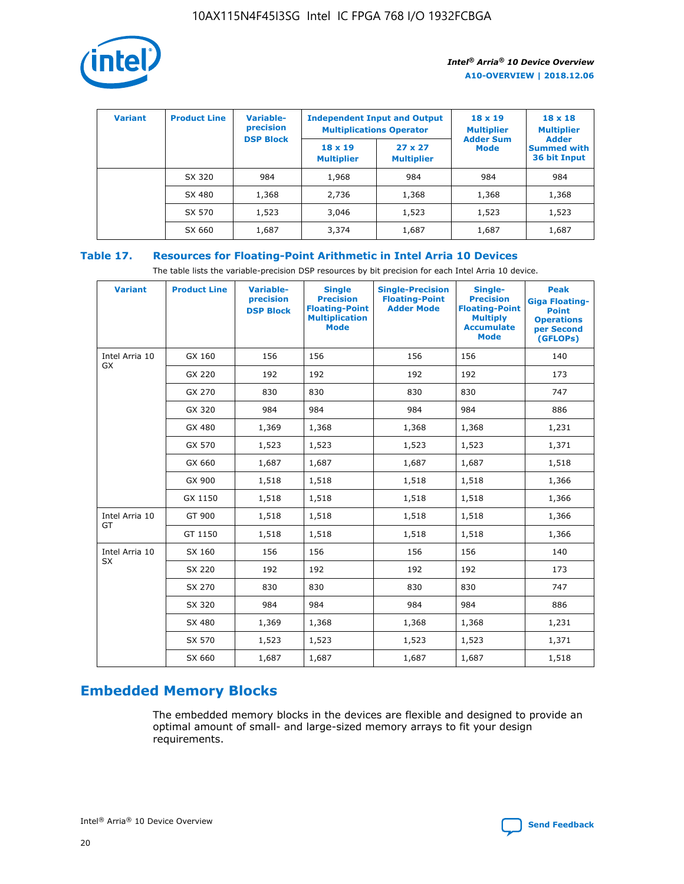

| <b>Variant</b> | <b>Product Line</b> | Variable-<br>precision | <b>Multiplications Operator</b>     | <b>Independent Input and Output</b> | $18 \times 19$<br><b>Multiplier</b> | $18 \times 18$<br><b>Multiplier</b><br><b>Adder</b> |  |
|----------------|---------------------|------------------------|-------------------------------------|-------------------------------------|-------------------------------------|-----------------------------------------------------|--|
|                |                     | <b>DSP Block</b>       | $18 \times 19$<br><b>Multiplier</b> | $27 \times 27$<br><b>Multiplier</b> | <b>Adder Sum</b><br><b>Mode</b>     | <b>Summed with</b><br>36 bit Input                  |  |
|                | SX 320              | 984                    | 1,968                               | 984                                 | 984                                 | 984                                                 |  |
|                | SX 480              | 1,368                  | 2,736                               | 1,368                               | 1,368                               | 1,368                                               |  |
|                | SX 570              | 1,523                  | 3,046                               | 1,523                               | 1,523                               | 1,523                                               |  |
|                | SX 660              | 1,687                  | 3,374                               | 1,687                               | 1,687                               | 1,687                                               |  |

## **Table 17. Resources for Floating-Point Arithmetic in Intel Arria 10 Devices**

The table lists the variable-precision DSP resources by bit precision for each Intel Arria 10 device.

| <b>Variant</b> | <b>Product Line</b> | <b>Variable-</b><br>precision<br><b>DSP Block</b> | <b>Single</b><br><b>Precision</b><br><b>Floating-Point</b><br><b>Multiplication</b><br><b>Mode</b> | <b>Single-Precision</b><br><b>Floating-Point</b><br><b>Adder Mode</b> | Single-<br><b>Precision</b><br><b>Floating-Point</b><br><b>Multiply</b><br><b>Accumulate</b><br><b>Mode</b> | <b>Peak</b><br><b>Giga Floating-</b><br><b>Point</b><br><b>Operations</b><br>per Second<br>(GFLOPs) |
|----------------|---------------------|---------------------------------------------------|----------------------------------------------------------------------------------------------------|-----------------------------------------------------------------------|-------------------------------------------------------------------------------------------------------------|-----------------------------------------------------------------------------------------------------|
| Intel Arria 10 | GX 160              | 156                                               | 156                                                                                                | 156                                                                   | 156                                                                                                         | 140                                                                                                 |
| GX             | GX 220              | 192                                               | 192                                                                                                | 192                                                                   | 192                                                                                                         | 173                                                                                                 |
|                | GX 270              | 830                                               | 830                                                                                                | 830                                                                   | 830                                                                                                         | 747                                                                                                 |
|                | GX 320              | 984                                               | 984                                                                                                | 984                                                                   | 984                                                                                                         | 886                                                                                                 |
|                | GX 480              | 1,369                                             | 1,368                                                                                              | 1,368                                                                 | 1,368                                                                                                       | 1,231                                                                                               |
|                | GX 570              | 1,523                                             | 1,523                                                                                              | 1,523                                                                 | 1,523                                                                                                       | 1,371                                                                                               |
|                | GX 660              | 1,687                                             | 1,687                                                                                              | 1,687                                                                 | 1,687                                                                                                       | 1,518                                                                                               |
|                | GX 900              | 1,518                                             | 1,518                                                                                              | 1,518                                                                 | 1,518                                                                                                       | 1,366                                                                                               |
|                | GX 1150             | 1,518                                             | 1,518                                                                                              | 1,518                                                                 | 1,518                                                                                                       | 1,366                                                                                               |
| Intel Arria 10 | GT 900              | 1,518                                             | 1,518                                                                                              | 1,518                                                                 | 1,518                                                                                                       | 1,366                                                                                               |
| GT             | GT 1150             | 1,518                                             | 1,518                                                                                              | 1,518                                                                 | 1,518                                                                                                       | 1,366                                                                                               |
| Intel Arria 10 | SX 160              | 156                                               | 156                                                                                                | 156                                                                   | 156                                                                                                         | 140                                                                                                 |
| <b>SX</b>      | SX 220              | 192                                               | 192                                                                                                | 192                                                                   | 192                                                                                                         | 173                                                                                                 |
|                | SX 270              | 830                                               | 830                                                                                                | 830                                                                   | 830                                                                                                         | 747                                                                                                 |
|                | SX 320              | 984                                               | 984                                                                                                | 984                                                                   | 984                                                                                                         | 886                                                                                                 |
|                | SX 480              | 1,369                                             | 1,368                                                                                              | 1,368                                                                 | 1,368                                                                                                       | 1,231                                                                                               |
|                | SX 570              | 1,523                                             | 1,523                                                                                              | 1,523                                                                 | 1,523                                                                                                       | 1,371                                                                                               |
|                | SX 660              | 1,687                                             | 1,687                                                                                              | 1,687                                                                 | 1,687                                                                                                       | 1,518                                                                                               |

# **Embedded Memory Blocks**

The embedded memory blocks in the devices are flexible and designed to provide an optimal amount of small- and large-sized memory arrays to fit your design requirements.

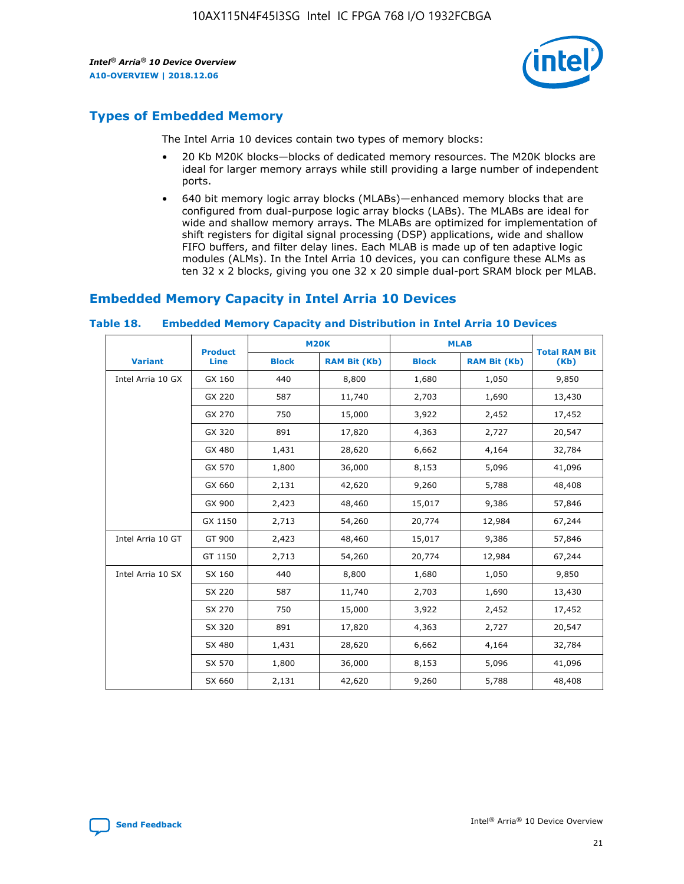

# **Types of Embedded Memory**

The Intel Arria 10 devices contain two types of memory blocks:

- 20 Kb M20K blocks—blocks of dedicated memory resources. The M20K blocks are ideal for larger memory arrays while still providing a large number of independent ports.
- 640 bit memory logic array blocks (MLABs)—enhanced memory blocks that are configured from dual-purpose logic array blocks (LABs). The MLABs are ideal for wide and shallow memory arrays. The MLABs are optimized for implementation of shift registers for digital signal processing (DSP) applications, wide and shallow FIFO buffers, and filter delay lines. Each MLAB is made up of ten adaptive logic modules (ALMs). In the Intel Arria 10 devices, you can configure these ALMs as ten 32 x 2 blocks, giving you one 32 x 20 simple dual-port SRAM block per MLAB.

# **Embedded Memory Capacity in Intel Arria 10 Devices**

|                   | <b>Product</b> | <b>M20K</b>  |                     | <b>MLAB</b>  |                     | <b>Total RAM Bit</b> |
|-------------------|----------------|--------------|---------------------|--------------|---------------------|----------------------|
| <b>Variant</b>    | <b>Line</b>    | <b>Block</b> | <b>RAM Bit (Kb)</b> | <b>Block</b> | <b>RAM Bit (Kb)</b> | (Kb)                 |
| Intel Arria 10 GX | GX 160         | 440          | 8,800               | 1,680        | 1,050               | 9,850                |
|                   | GX 220         | 587          | 11,740              | 2,703        | 1,690               | 13,430               |
|                   | GX 270         | 750          | 15,000              | 3,922        | 2,452               | 17,452               |
|                   | GX 320         | 891          | 17,820              | 4,363        | 2,727               | 20,547               |
|                   | GX 480         | 1,431        | 28,620              | 6,662        | 4,164               | 32,784               |
|                   | GX 570         | 1,800        | 36,000              | 8,153        | 5,096               | 41,096               |
|                   | GX 660         | 2,131        | 42,620              | 9,260        | 5,788               | 48,408               |
|                   | GX 900         | 2,423        | 48,460              | 15,017       | 9,386               | 57,846               |
|                   | GX 1150        | 2,713        | 54,260              | 20,774       | 12,984              | 67,244               |
| Intel Arria 10 GT | GT 900         | 2,423        | 48,460              | 15,017       | 9,386               | 57,846               |
|                   | GT 1150        | 2,713        | 54,260              | 20,774       | 12,984              | 67,244               |
| Intel Arria 10 SX | SX 160         | 440          | 8,800               | 1,680        | 1,050               | 9,850                |
|                   | SX 220         | 587          | 11,740              | 2,703        | 1,690               | 13,430               |
|                   | SX 270         | 750          | 15,000              | 3,922        | 2,452               | 17,452               |
|                   | SX 320         | 891          | 17,820              | 4,363        | 2,727               | 20,547               |
|                   | SX 480         | 1,431        | 28,620              | 6,662        | 4,164               | 32,784               |
|                   | SX 570         | 1,800        | 36,000              | 8,153        | 5,096               | 41,096               |
|                   | SX 660         | 2,131        | 42,620              | 9,260        | 5,788               | 48,408               |

#### **Table 18. Embedded Memory Capacity and Distribution in Intel Arria 10 Devices**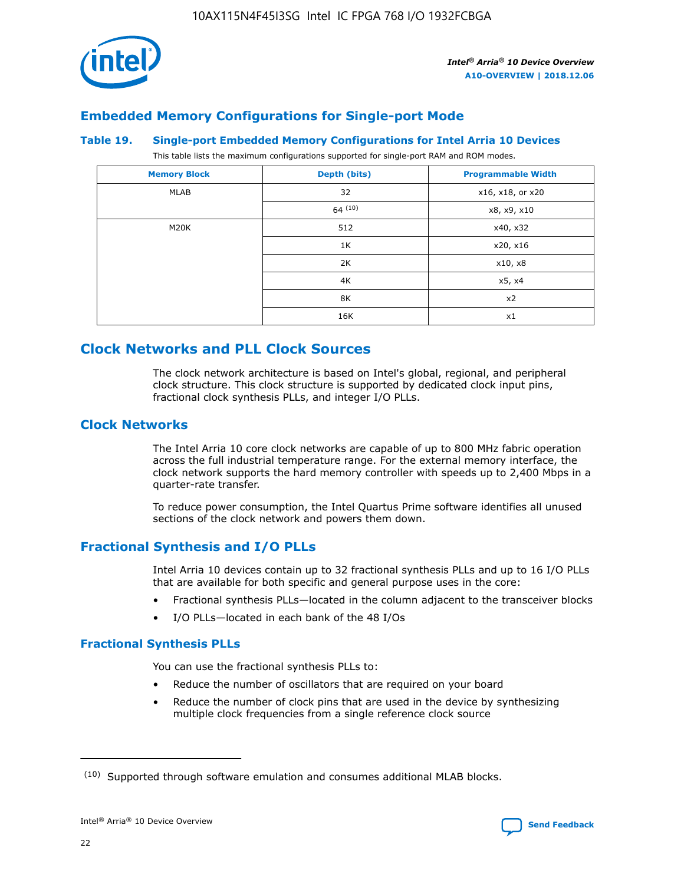

# **Embedded Memory Configurations for Single-port Mode**

#### **Table 19. Single-port Embedded Memory Configurations for Intel Arria 10 Devices**

This table lists the maximum configurations supported for single-port RAM and ROM modes.

| <b>Memory Block</b> | Depth (bits) | <b>Programmable Width</b> |
|---------------------|--------------|---------------------------|
| MLAB                | 32           | x16, x18, or x20          |
|                     | 64(10)       | x8, x9, x10               |
| M20K                | 512          | x40, x32                  |
|                     | 1K           | x20, x16                  |
|                     | 2K           | x10, x8                   |
|                     | 4K           | x5, x4                    |
|                     | 8K           | x2                        |
|                     | 16K          | x1                        |

# **Clock Networks and PLL Clock Sources**

The clock network architecture is based on Intel's global, regional, and peripheral clock structure. This clock structure is supported by dedicated clock input pins, fractional clock synthesis PLLs, and integer I/O PLLs.

## **Clock Networks**

The Intel Arria 10 core clock networks are capable of up to 800 MHz fabric operation across the full industrial temperature range. For the external memory interface, the clock network supports the hard memory controller with speeds up to 2,400 Mbps in a quarter-rate transfer.

To reduce power consumption, the Intel Quartus Prime software identifies all unused sections of the clock network and powers them down.

## **Fractional Synthesis and I/O PLLs**

Intel Arria 10 devices contain up to 32 fractional synthesis PLLs and up to 16 I/O PLLs that are available for both specific and general purpose uses in the core:

- Fractional synthesis PLLs—located in the column adjacent to the transceiver blocks
- I/O PLLs—located in each bank of the 48 I/Os

## **Fractional Synthesis PLLs**

You can use the fractional synthesis PLLs to:

- Reduce the number of oscillators that are required on your board
- Reduce the number of clock pins that are used in the device by synthesizing multiple clock frequencies from a single reference clock source

<sup>(10)</sup> Supported through software emulation and consumes additional MLAB blocks.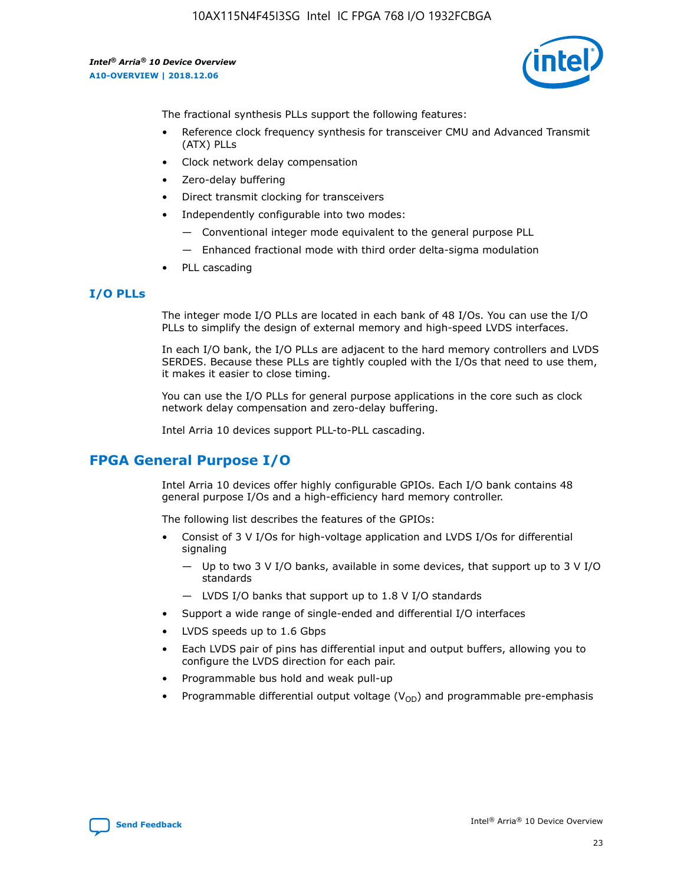

The fractional synthesis PLLs support the following features:

- Reference clock frequency synthesis for transceiver CMU and Advanced Transmit (ATX) PLLs
- Clock network delay compensation
- Zero-delay buffering
- Direct transmit clocking for transceivers
- Independently configurable into two modes:
	- Conventional integer mode equivalent to the general purpose PLL
	- Enhanced fractional mode with third order delta-sigma modulation
- PLL cascading

## **I/O PLLs**

The integer mode I/O PLLs are located in each bank of 48 I/Os. You can use the I/O PLLs to simplify the design of external memory and high-speed LVDS interfaces.

In each I/O bank, the I/O PLLs are adjacent to the hard memory controllers and LVDS SERDES. Because these PLLs are tightly coupled with the I/Os that need to use them, it makes it easier to close timing.

You can use the I/O PLLs for general purpose applications in the core such as clock network delay compensation and zero-delay buffering.

Intel Arria 10 devices support PLL-to-PLL cascading.

# **FPGA General Purpose I/O**

Intel Arria 10 devices offer highly configurable GPIOs. Each I/O bank contains 48 general purpose I/Os and a high-efficiency hard memory controller.

The following list describes the features of the GPIOs:

- Consist of 3 V I/Os for high-voltage application and LVDS I/Os for differential signaling
	- Up to two 3 V I/O banks, available in some devices, that support up to 3 V I/O standards
	- LVDS I/O banks that support up to 1.8 V I/O standards
- Support a wide range of single-ended and differential I/O interfaces
- LVDS speeds up to 1.6 Gbps
- Each LVDS pair of pins has differential input and output buffers, allowing you to configure the LVDS direction for each pair.
- Programmable bus hold and weak pull-up
- Programmable differential output voltage  $(V_{OD})$  and programmable pre-emphasis

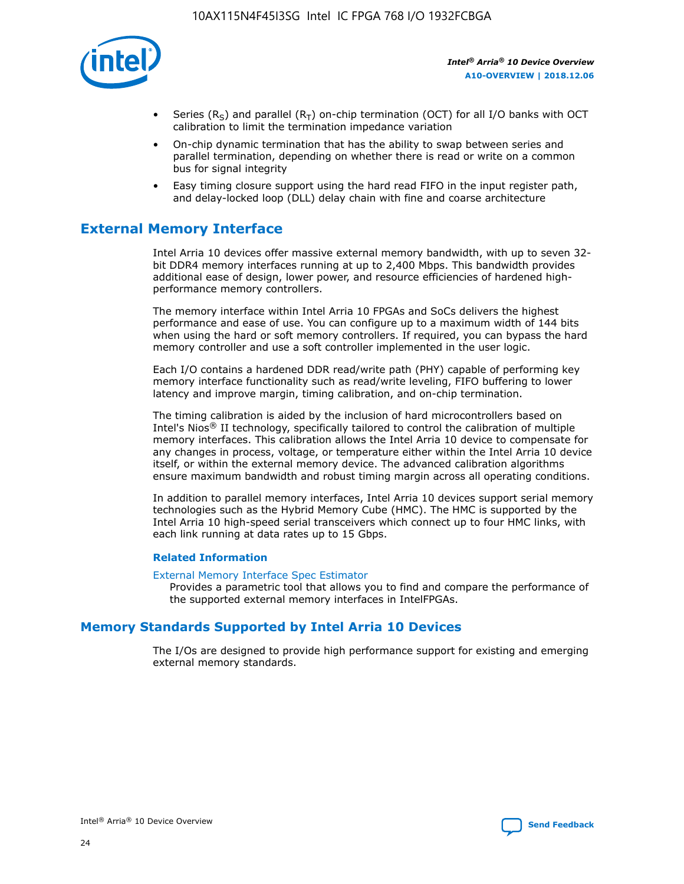

- Series (R<sub>S</sub>) and parallel (R<sub>T</sub>) on-chip termination (OCT) for all I/O banks with OCT calibration to limit the termination impedance variation
- On-chip dynamic termination that has the ability to swap between series and parallel termination, depending on whether there is read or write on a common bus for signal integrity
- Easy timing closure support using the hard read FIFO in the input register path, and delay-locked loop (DLL) delay chain with fine and coarse architecture

# **External Memory Interface**

Intel Arria 10 devices offer massive external memory bandwidth, with up to seven 32 bit DDR4 memory interfaces running at up to 2,400 Mbps. This bandwidth provides additional ease of design, lower power, and resource efficiencies of hardened highperformance memory controllers.

The memory interface within Intel Arria 10 FPGAs and SoCs delivers the highest performance and ease of use. You can configure up to a maximum width of 144 bits when using the hard or soft memory controllers. If required, you can bypass the hard memory controller and use a soft controller implemented in the user logic.

Each I/O contains a hardened DDR read/write path (PHY) capable of performing key memory interface functionality such as read/write leveling, FIFO buffering to lower latency and improve margin, timing calibration, and on-chip termination.

The timing calibration is aided by the inclusion of hard microcontrollers based on Intel's Nios® II technology, specifically tailored to control the calibration of multiple memory interfaces. This calibration allows the Intel Arria 10 device to compensate for any changes in process, voltage, or temperature either within the Intel Arria 10 device itself, or within the external memory device. The advanced calibration algorithms ensure maximum bandwidth and robust timing margin across all operating conditions.

In addition to parallel memory interfaces, Intel Arria 10 devices support serial memory technologies such as the Hybrid Memory Cube (HMC). The HMC is supported by the Intel Arria 10 high-speed serial transceivers which connect up to four HMC links, with each link running at data rates up to 15 Gbps.

## **Related Information**

#### [External Memory Interface Spec Estimator](http://www.altera.com/technology/memory/estimator/mem-emif-index.html)

Provides a parametric tool that allows you to find and compare the performance of the supported external memory interfaces in IntelFPGAs.

## **Memory Standards Supported by Intel Arria 10 Devices**

The I/Os are designed to provide high performance support for existing and emerging external memory standards.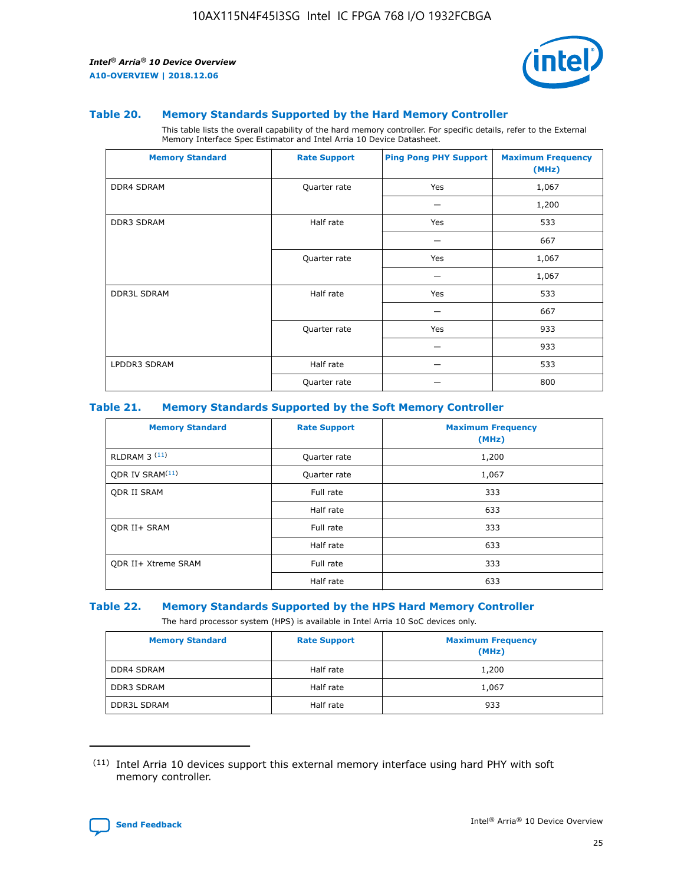

#### **Table 20. Memory Standards Supported by the Hard Memory Controller**

This table lists the overall capability of the hard memory controller. For specific details, refer to the External Memory Interface Spec Estimator and Intel Arria 10 Device Datasheet.

| <b>Memory Standard</b> | <b>Rate Support</b> | <b>Ping Pong PHY Support</b> | <b>Maximum Frequency</b><br>(MHz) |
|------------------------|---------------------|------------------------------|-----------------------------------|
| <b>DDR4 SDRAM</b>      | Quarter rate        | Yes                          | 1,067                             |
|                        |                     |                              | 1,200                             |
| DDR3 SDRAM             | Half rate           | Yes                          | 533                               |
|                        |                     |                              | 667                               |
|                        | Quarter rate        | Yes                          | 1,067                             |
|                        |                     |                              | 1,067                             |
| <b>DDR3L SDRAM</b>     | Half rate           | Yes                          | 533                               |
|                        |                     |                              | 667                               |
|                        | Quarter rate        | Yes                          | 933                               |
|                        |                     |                              | 933                               |
| LPDDR3 SDRAM           | Half rate           |                              | 533                               |
|                        | Quarter rate        |                              | 800                               |

## **Table 21. Memory Standards Supported by the Soft Memory Controller**

| <b>Memory Standard</b>      | <b>Rate Support</b> | <b>Maximum Frequency</b><br>(MHz) |
|-----------------------------|---------------------|-----------------------------------|
| <b>RLDRAM 3 (11)</b>        | Quarter rate        | 1,200                             |
| ODR IV SRAM <sup>(11)</sup> | Quarter rate        | 1,067                             |
| <b>ODR II SRAM</b>          | Full rate           | 333                               |
|                             | Half rate           | 633                               |
| <b>ODR II+ SRAM</b>         | Full rate           | 333                               |
|                             | Half rate           | 633                               |
| <b>ODR II+ Xtreme SRAM</b>  | Full rate           | 333                               |
|                             | Half rate           | 633                               |

#### **Table 22. Memory Standards Supported by the HPS Hard Memory Controller**

The hard processor system (HPS) is available in Intel Arria 10 SoC devices only.

| <b>Memory Standard</b> | <b>Rate Support</b> | <b>Maximum Frequency</b><br>(MHz) |
|------------------------|---------------------|-----------------------------------|
| <b>DDR4 SDRAM</b>      | Half rate           | 1,200                             |
| <b>DDR3 SDRAM</b>      | Half rate           | 1,067                             |
| <b>DDR3L SDRAM</b>     | Half rate           | 933                               |

<sup>(11)</sup> Intel Arria 10 devices support this external memory interface using hard PHY with soft memory controller.

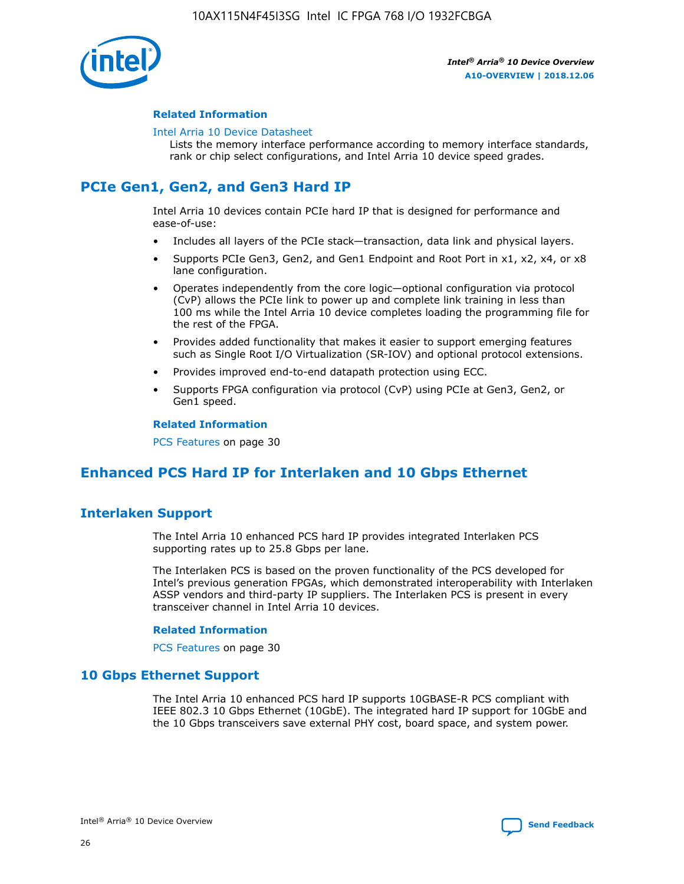

## **Related Information**

#### [Intel Arria 10 Device Datasheet](https://www.intel.com/content/www/us/en/programmable/documentation/mcn1413182292568.html#mcn1413182153340)

Lists the memory interface performance according to memory interface standards, rank or chip select configurations, and Intel Arria 10 device speed grades.

# **PCIe Gen1, Gen2, and Gen3 Hard IP**

Intel Arria 10 devices contain PCIe hard IP that is designed for performance and ease-of-use:

- Includes all layers of the PCIe stack—transaction, data link and physical layers.
- Supports PCIe Gen3, Gen2, and Gen1 Endpoint and Root Port in x1, x2, x4, or x8 lane configuration.
- Operates independently from the core logic—optional configuration via protocol (CvP) allows the PCIe link to power up and complete link training in less than 100 ms while the Intel Arria 10 device completes loading the programming file for the rest of the FPGA.
- Provides added functionality that makes it easier to support emerging features such as Single Root I/O Virtualization (SR-IOV) and optional protocol extensions.
- Provides improved end-to-end datapath protection using ECC.
- Supports FPGA configuration via protocol (CvP) using PCIe at Gen3, Gen2, or Gen1 speed.

#### **Related Information**

PCS Features on page 30

# **Enhanced PCS Hard IP for Interlaken and 10 Gbps Ethernet**

## **Interlaken Support**

The Intel Arria 10 enhanced PCS hard IP provides integrated Interlaken PCS supporting rates up to 25.8 Gbps per lane.

The Interlaken PCS is based on the proven functionality of the PCS developed for Intel's previous generation FPGAs, which demonstrated interoperability with Interlaken ASSP vendors and third-party IP suppliers. The Interlaken PCS is present in every transceiver channel in Intel Arria 10 devices.

## **Related Information**

PCS Features on page 30

## **10 Gbps Ethernet Support**

The Intel Arria 10 enhanced PCS hard IP supports 10GBASE-R PCS compliant with IEEE 802.3 10 Gbps Ethernet (10GbE). The integrated hard IP support for 10GbE and the 10 Gbps transceivers save external PHY cost, board space, and system power.

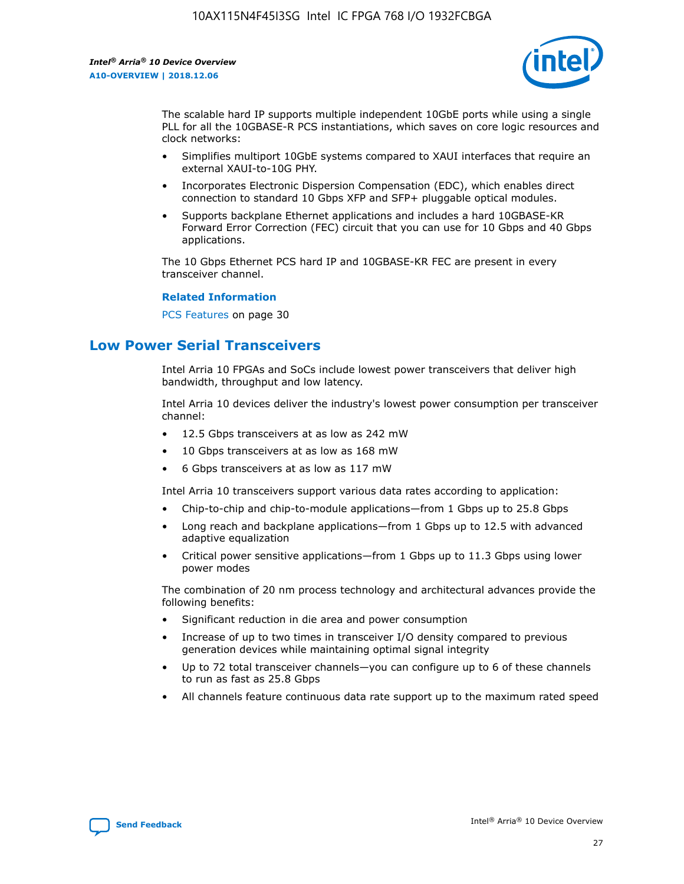

The scalable hard IP supports multiple independent 10GbE ports while using a single PLL for all the 10GBASE-R PCS instantiations, which saves on core logic resources and clock networks:

- Simplifies multiport 10GbE systems compared to XAUI interfaces that require an external XAUI-to-10G PHY.
- Incorporates Electronic Dispersion Compensation (EDC), which enables direct connection to standard 10 Gbps XFP and SFP+ pluggable optical modules.
- Supports backplane Ethernet applications and includes a hard 10GBASE-KR Forward Error Correction (FEC) circuit that you can use for 10 Gbps and 40 Gbps applications.

The 10 Gbps Ethernet PCS hard IP and 10GBASE-KR FEC are present in every transceiver channel.

#### **Related Information**

PCS Features on page 30

# **Low Power Serial Transceivers**

Intel Arria 10 FPGAs and SoCs include lowest power transceivers that deliver high bandwidth, throughput and low latency.

Intel Arria 10 devices deliver the industry's lowest power consumption per transceiver channel:

- 12.5 Gbps transceivers at as low as 242 mW
- 10 Gbps transceivers at as low as 168 mW
- 6 Gbps transceivers at as low as 117 mW

Intel Arria 10 transceivers support various data rates according to application:

- Chip-to-chip and chip-to-module applications—from 1 Gbps up to 25.8 Gbps
- Long reach and backplane applications—from 1 Gbps up to 12.5 with advanced adaptive equalization
- Critical power sensitive applications—from 1 Gbps up to 11.3 Gbps using lower power modes

The combination of 20 nm process technology and architectural advances provide the following benefits:

- Significant reduction in die area and power consumption
- Increase of up to two times in transceiver I/O density compared to previous generation devices while maintaining optimal signal integrity
- Up to 72 total transceiver channels—you can configure up to 6 of these channels to run as fast as 25.8 Gbps
- All channels feature continuous data rate support up to the maximum rated speed

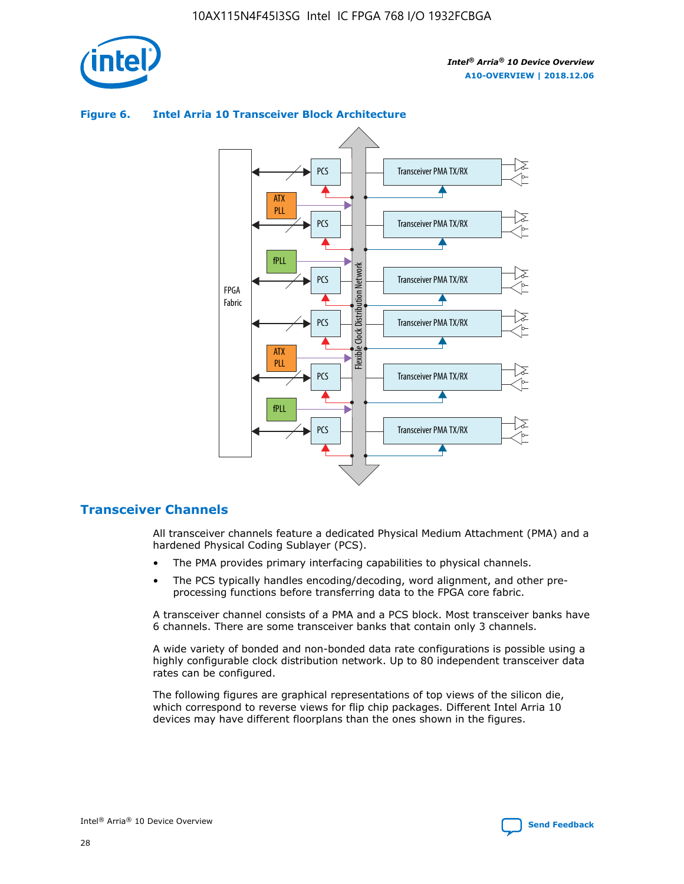



## **Figure 6. Intel Arria 10 Transceiver Block Architecture**

## **Transceiver Channels**

All transceiver channels feature a dedicated Physical Medium Attachment (PMA) and a hardened Physical Coding Sublayer (PCS).

- The PMA provides primary interfacing capabilities to physical channels.
- The PCS typically handles encoding/decoding, word alignment, and other preprocessing functions before transferring data to the FPGA core fabric.

A transceiver channel consists of a PMA and a PCS block. Most transceiver banks have 6 channels. There are some transceiver banks that contain only 3 channels.

A wide variety of bonded and non-bonded data rate configurations is possible using a highly configurable clock distribution network. Up to 80 independent transceiver data rates can be configured.

The following figures are graphical representations of top views of the silicon die, which correspond to reverse views for flip chip packages. Different Intel Arria 10 devices may have different floorplans than the ones shown in the figures.

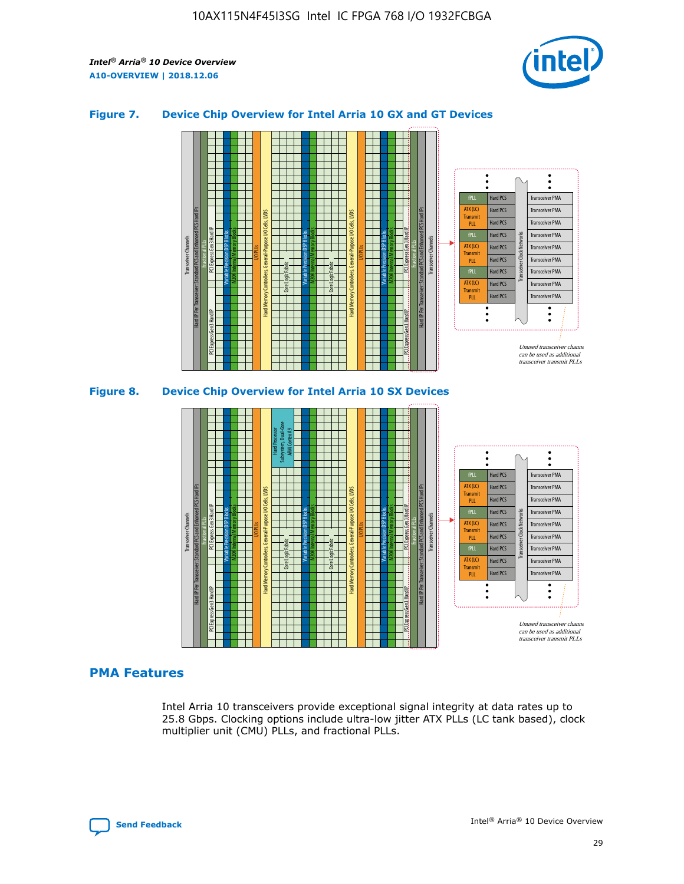

## **Figure 7. Device Chip Overview for Intel Arria 10 GX and GT Devices**





## **PMA Features**

Intel Arria 10 transceivers provide exceptional signal integrity at data rates up to 25.8 Gbps. Clocking options include ultra-low jitter ATX PLLs (LC tank based), clock multiplier unit (CMU) PLLs, and fractional PLLs.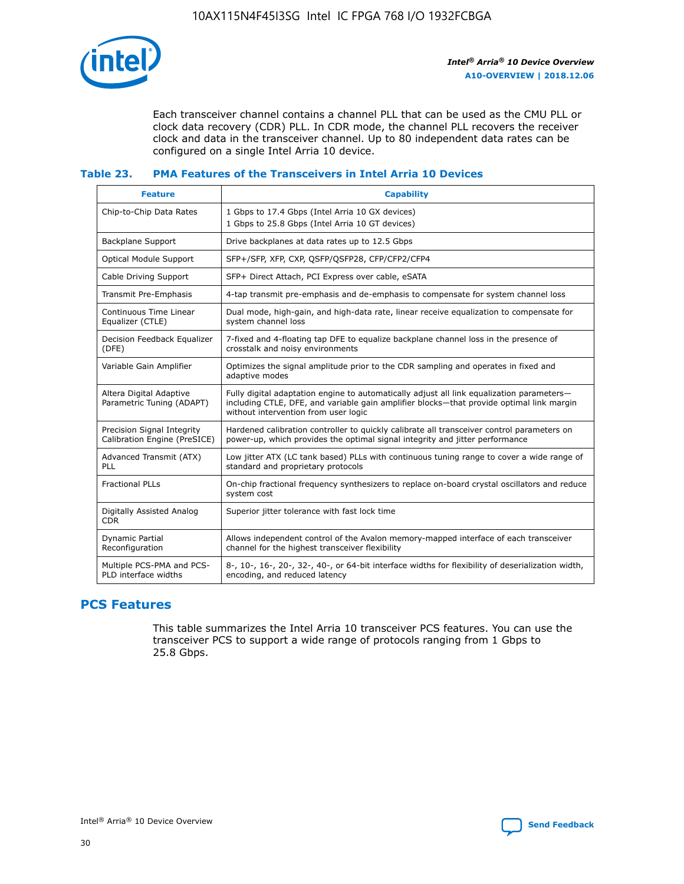

Each transceiver channel contains a channel PLL that can be used as the CMU PLL or clock data recovery (CDR) PLL. In CDR mode, the channel PLL recovers the receiver clock and data in the transceiver channel. Up to 80 independent data rates can be configured on a single Intel Arria 10 device.

## **Table 23. PMA Features of the Transceivers in Intel Arria 10 Devices**

| <b>Feature</b>                                             | <b>Capability</b>                                                                                                                                                                                                             |
|------------------------------------------------------------|-------------------------------------------------------------------------------------------------------------------------------------------------------------------------------------------------------------------------------|
| Chip-to-Chip Data Rates                                    | 1 Gbps to 17.4 Gbps (Intel Arria 10 GX devices)<br>1 Gbps to 25.8 Gbps (Intel Arria 10 GT devices)                                                                                                                            |
| Backplane Support                                          | Drive backplanes at data rates up to 12.5 Gbps                                                                                                                                                                                |
| Optical Module Support                                     | SFP+/SFP, XFP, CXP, QSFP/QSFP28, CFP/CFP2/CFP4                                                                                                                                                                                |
| Cable Driving Support                                      | SFP+ Direct Attach, PCI Express over cable, eSATA                                                                                                                                                                             |
| Transmit Pre-Emphasis                                      | 4-tap transmit pre-emphasis and de-emphasis to compensate for system channel loss                                                                                                                                             |
| Continuous Time Linear<br>Equalizer (CTLE)                 | Dual mode, high-gain, and high-data rate, linear receive equalization to compensate for<br>system channel loss                                                                                                                |
| Decision Feedback Equalizer<br>(DFE)                       | 7-fixed and 4-floating tap DFE to equalize backplane channel loss in the presence of<br>crosstalk and noisy environments                                                                                                      |
| Variable Gain Amplifier                                    | Optimizes the signal amplitude prior to the CDR sampling and operates in fixed and<br>adaptive modes                                                                                                                          |
| Altera Digital Adaptive<br>Parametric Tuning (ADAPT)       | Fully digital adaptation engine to automatically adjust all link equalization parameters-<br>including CTLE, DFE, and variable gain amplifier blocks—that provide optimal link margin<br>without intervention from user logic |
| Precision Signal Integrity<br>Calibration Engine (PreSICE) | Hardened calibration controller to quickly calibrate all transceiver control parameters on<br>power-up, which provides the optimal signal integrity and jitter performance                                                    |
| Advanced Transmit (ATX)<br>PLL                             | Low jitter ATX (LC tank based) PLLs with continuous tuning range to cover a wide range of<br>standard and proprietary protocols                                                                                               |
| <b>Fractional PLLs</b>                                     | On-chip fractional frequency synthesizers to replace on-board crystal oscillators and reduce<br>system cost                                                                                                                   |
| Digitally Assisted Analog<br><b>CDR</b>                    | Superior jitter tolerance with fast lock time                                                                                                                                                                                 |
| Dynamic Partial<br>Reconfiguration                         | Allows independent control of the Avalon memory-mapped interface of each transceiver<br>channel for the highest transceiver flexibility                                                                                       |
| Multiple PCS-PMA and PCS-<br>PLD interface widths          | 8-, 10-, 16-, 20-, 32-, 40-, or 64-bit interface widths for flexibility of deserialization width,<br>encoding, and reduced latency                                                                                            |

## **PCS Features**

This table summarizes the Intel Arria 10 transceiver PCS features. You can use the transceiver PCS to support a wide range of protocols ranging from 1 Gbps to 25.8 Gbps.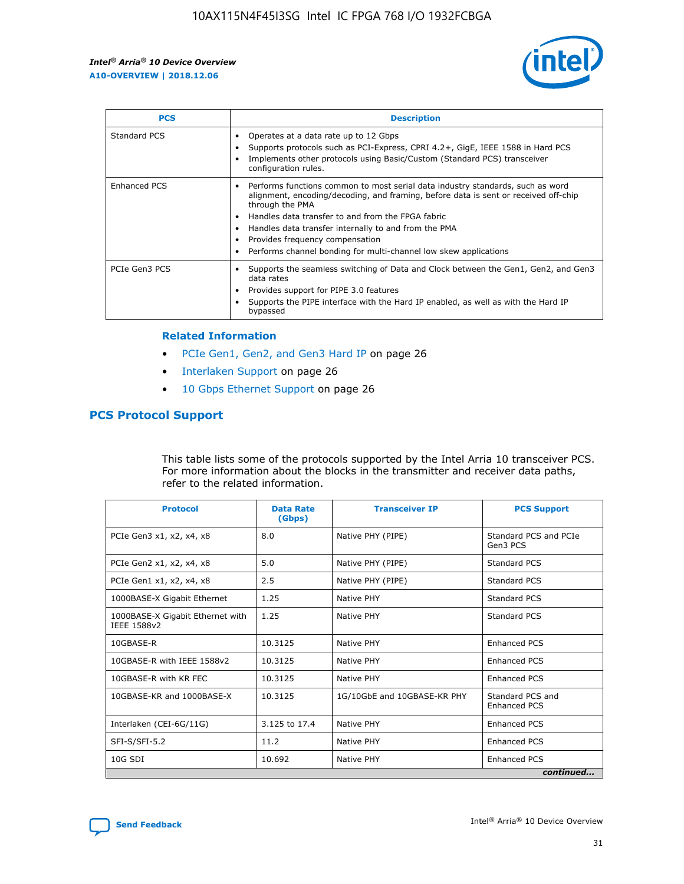

| <b>PCS</b>    | <b>Description</b>                                                                                                                                                                                                                                                                                                                                                                                             |
|---------------|----------------------------------------------------------------------------------------------------------------------------------------------------------------------------------------------------------------------------------------------------------------------------------------------------------------------------------------------------------------------------------------------------------------|
| Standard PCS  | Operates at a data rate up to 12 Gbps<br>Supports protocols such as PCI-Express, CPRI 4.2+, GigE, IEEE 1588 in Hard PCS<br>Implements other protocols using Basic/Custom (Standard PCS) transceiver<br>configuration rules.                                                                                                                                                                                    |
| Enhanced PCS  | Performs functions common to most serial data industry standards, such as word<br>alignment, encoding/decoding, and framing, before data is sent or received off-chip<br>through the PMA<br>• Handles data transfer to and from the FPGA fabric<br>Handles data transfer internally to and from the PMA<br>Provides frequency compensation<br>Performs channel bonding for multi-channel low skew applications |
| PCIe Gen3 PCS | Supports the seamless switching of Data and Clock between the Gen1, Gen2, and Gen3<br>data rates<br>Provides support for PIPE 3.0 features<br>Supports the PIPE interface with the Hard IP enabled, as well as with the Hard IP<br>bypassed                                                                                                                                                                    |

#### **Related Information**

- PCIe Gen1, Gen2, and Gen3 Hard IP on page 26
- Interlaken Support on page 26
- 10 Gbps Ethernet Support on page 26

## **PCS Protocol Support**

This table lists some of the protocols supported by the Intel Arria 10 transceiver PCS. For more information about the blocks in the transmitter and receiver data paths, refer to the related information.

| <b>Protocol</b>                                 | <b>Data Rate</b><br>(Gbps) | <b>Transceiver IP</b>       | <b>PCS Support</b>                      |
|-------------------------------------------------|----------------------------|-----------------------------|-----------------------------------------|
| PCIe Gen3 x1, x2, x4, x8                        | 8.0                        | Native PHY (PIPE)           | Standard PCS and PCIe<br>Gen3 PCS       |
| PCIe Gen2 x1, x2, x4, x8                        | 5.0                        | Native PHY (PIPE)           | <b>Standard PCS</b>                     |
| PCIe Gen1 x1, x2, x4, x8                        | 2.5                        | Native PHY (PIPE)           | Standard PCS                            |
| 1000BASE-X Gigabit Ethernet                     | 1.25                       | Native PHY                  | <b>Standard PCS</b>                     |
| 1000BASE-X Gigabit Ethernet with<br>IEEE 1588v2 | 1.25                       | Native PHY                  | Standard PCS                            |
| 10GBASE-R                                       | 10.3125                    | Native PHY                  | <b>Enhanced PCS</b>                     |
| 10GBASE-R with IEEE 1588v2                      | 10.3125                    | Native PHY                  | <b>Enhanced PCS</b>                     |
| 10GBASE-R with KR FEC                           | 10.3125                    | Native PHY                  | <b>Enhanced PCS</b>                     |
| 10GBASE-KR and 1000BASE-X                       | 10.3125                    | 1G/10GbE and 10GBASE-KR PHY | Standard PCS and<br><b>Enhanced PCS</b> |
| Interlaken (CEI-6G/11G)                         | 3.125 to 17.4              | Native PHY                  | <b>Enhanced PCS</b>                     |
| SFI-S/SFI-5.2                                   | 11.2                       | Native PHY                  | <b>Enhanced PCS</b>                     |
| 10G SDI                                         | 10.692                     | Native PHY                  | <b>Enhanced PCS</b>                     |
|                                                 |                            |                             | continued                               |

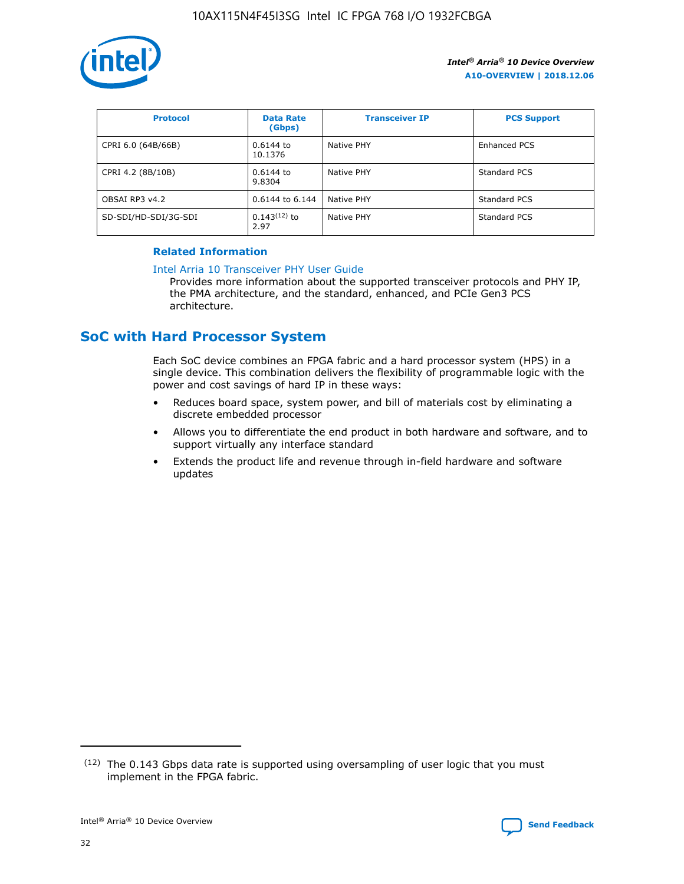

| <b>Protocol</b>      | <b>Data Rate</b><br>(Gbps) | <b>Transceiver IP</b> | <b>PCS Support</b> |
|----------------------|----------------------------|-----------------------|--------------------|
| CPRI 6.0 (64B/66B)   | 0.6144 to<br>10.1376       | Native PHY            | Enhanced PCS       |
| CPRI 4.2 (8B/10B)    | 0.6144 to<br>9.8304        | Native PHY            | Standard PCS       |
| OBSAI RP3 v4.2       | 0.6144 to 6.144            | Native PHY            | Standard PCS       |
| SD-SDI/HD-SDI/3G-SDI | $0.143(12)$ to<br>2.97     | Native PHY            | Standard PCS       |

## **Related Information**

#### [Intel Arria 10 Transceiver PHY User Guide](https://www.intel.com/content/www/us/en/programmable/documentation/nik1398707230472.html#nik1398707091164)

Provides more information about the supported transceiver protocols and PHY IP, the PMA architecture, and the standard, enhanced, and PCIe Gen3 PCS architecture.

# **SoC with Hard Processor System**

Each SoC device combines an FPGA fabric and a hard processor system (HPS) in a single device. This combination delivers the flexibility of programmable logic with the power and cost savings of hard IP in these ways:

- Reduces board space, system power, and bill of materials cost by eliminating a discrete embedded processor
- Allows you to differentiate the end product in both hardware and software, and to support virtually any interface standard
- Extends the product life and revenue through in-field hardware and software updates

 $(12)$  The 0.143 Gbps data rate is supported using oversampling of user logic that you must implement in the FPGA fabric.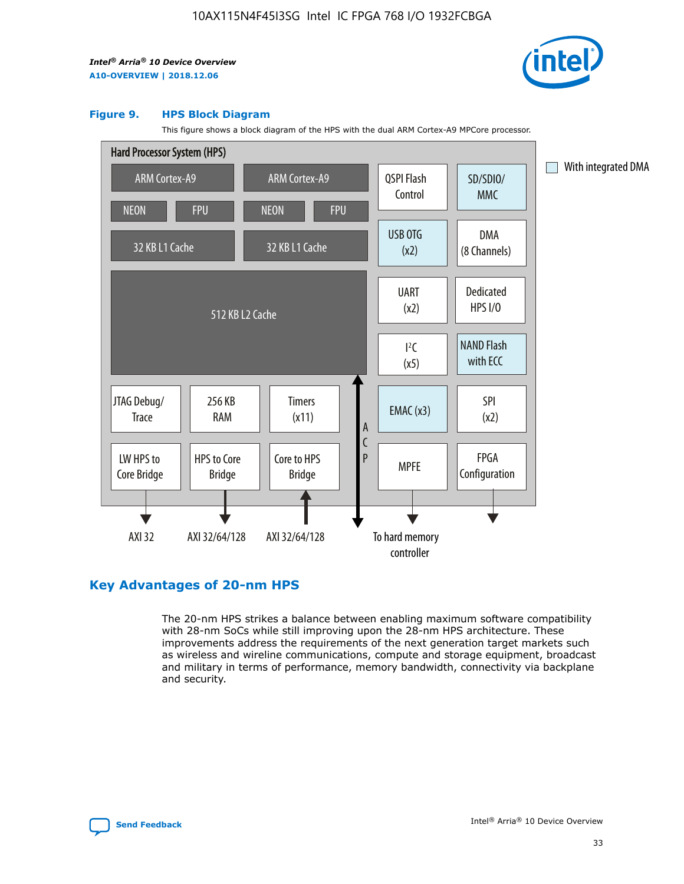

#### **Figure 9. HPS Block Diagram**

This figure shows a block diagram of the HPS with the dual ARM Cortex-A9 MPCore processor.



## **Key Advantages of 20-nm HPS**

The 20-nm HPS strikes a balance between enabling maximum software compatibility with 28-nm SoCs while still improving upon the 28-nm HPS architecture. These improvements address the requirements of the next generation target markets such as wireless and wireline communications, compute and storage equipment, broadcast and military in terms of performance, memory bandwidth, connectivity via backplane and security.

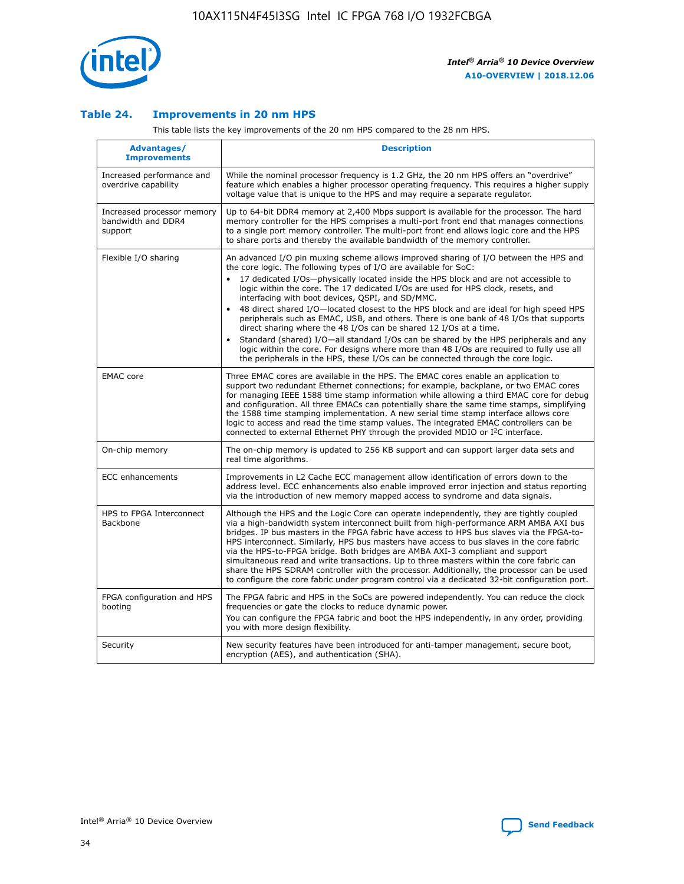

## **Table 24. Improvements in 20 nm HPS**

This table lists the key improvements of the 20 nm HPS compared to the 28 nm HPS.

| Advantages/<br><b>Improvements</b>                          | <b>Description</b>                                                                                                                                                                                                                                                                                                                                                                                                                                                                                                                                                                                                                                                                                                                                                                                                                                                                                                      |
|-------------------------------------------------------------|-------------------------------------------------------------------------------------------------------------------------------------------------------------------------------------------------------------------------------------------------------------------------------------------------------------------------------------------------------------------------------------------------------------------------------------------------------------------------------------------------------------------------------------------------------------------------------------------------------------------------------------------------------------------------------------------------------------------------------------------------------------------------------------------------------------------------------------------------------------------------------------------------------------------------|
| Increased performance and<br>overdrive capability           | While the nominal processor frequency is 1.2 GHz, the 20 nm HPS offers an "overdrive"<br>feature which enables a higher processor operating frequency. This requires a higher supply<br>voltage value that is unique to the HPS and may require a separate regulator.                                                                                                                                                                                                                                                                                                                                                                                                                                                                                                                                                                                                                                                   |
| Increased processor memory<br>bandwidth and DDR4<br>support | Up to 64-bit DDR4 memory at 2,400 Mbps support is available for the processor. The hard<br>memory controller for the HPS comprises a multi-port front end that manages connections<br>to a single port memory controller. The multi-port front end allows logic core and the HPS<br>to share ports and thereby the available bandwidth of the memory controller.                                                                                                                                                                                                                                                                                                                                                                                                                                                                                                                                                        |
| Flexible I/O sharing                                        | An advanced I/O pin muxing scheme allows improved sharing of I/O between the HPS and<br>the core logic. The following types of I/O are available for SoC:<br>17 dedicated I/Os-physically located inside the HPS block and are not accessible to<br>logic within the core. The 17 dedicated I/Os are used for HPS clock, resets, and<br>interfacing with boot devices, QSPI, and SD/MMC.<br>48 direct shared I/O-located closest to the HPS block and are ideal for high speed HPS<br>peripherals such as EMAC, USB, and others. There is one bank of 48 I/Os that supports<br>direct sharing where the 48 I/Os can be shared 12 I/Os at a time.<br>Standard (shared) I/O—all standard I/Os can be shared by the HPS peripherals and any<br>logic within the core. For designs where more than 48 I/Os are required to fully use all<br>the peripherals in the HPS, these I/Os can be connected through the core logic. |
| <b>EMAC</b> core                                            | Three EMAC cores are available in the HPS. The EMAC cores enable an application to<br>support two redundant Ethernet connections; for example, backplane, or two EMAC cores<br>for managing IEEE 1588 time stamp information while allowing a third EMAC core for debug<br>and configuration. All three EMACs can potentially share the same time stamps, simplifying<br>the 1588 time stamping implementation. A new serial time stamp interface allows core<br>logic to access and read the time stamp values. The integrated EMAC controllers can be<br>connected to external Ethernet PHY through the provided MDIO or I <sup>2</sup> C interface.                                                                                                                                                                                                                                                                  |
| On-chip memory                                              | The on-chip memory is updated to 256 KB support and can support larger data sets and<br>real time algorithms.                                                                                                                                                                                                                                                                                                                                                                                                                                                                                                                                                                                                                                                                                                                                                                                                           |
| <b>ECC</b> enhancements                                     | Improvements in L2 Cache ECC management allow identification of errors down to the<br>address level. ECC enhancements also enable improved error injection and status reporting<br>via the introduction of new memory mapped access to syndrome and data signals.                                                                                                                                                                                                                                                                                                                                                                                                                                                                                                                                                                                                                                                       |
| HPS to FPGA Interconnect<br><b>Backbone</b>                 | Although the HPS and the Logic Core can operate independently, they are tightly coupled<br>via a high-bandwidth system interconnect built from high-performance ARM AMBA AXI bus<br>bridges. IP bus masters in the FPGA fabric have access to HPS bus slaves via the FPGA-to-<br>HPS interconnect. Similarly, HPS bus masters have access to bus slaves in the core fabric<br>via the HPS-to-FPGA bridge. Both bridges are AMBA AXI-3 compliant and support<br>simultaneous read and write transactions. Up to three masters within the core fabric can<br>share the HPS SDRAM controller with the processor. Additionally, the processor can be used<br>to configure the core fabric under program control via a dedicated 32-bit configuration port.                                                                                                                                                                  |
| FPGA configuration and HPS<br>booting                       | The FPGA fabric and HPS in the SoCs are powered independently. You can reduce the clock<br>frequencies or gate the clocks to reduce dynamic power.<br>You can configure the FPGA fabric and boot the HPS independently, in any order, providing<br>you with more design flexibility.                                                                                                                                                                                                                                                                                                                                                                                                                                                                                                                                                                                                                                    |
| Security                                                    | New security features have been introduced for anti-tamper management, secure boot,<br>encryption (AES), and authentication (SHA).                                                                                                                                                                                                                                                                                                                                                                                                                                                                                                                                                                                                                                                                                                                                                                                      |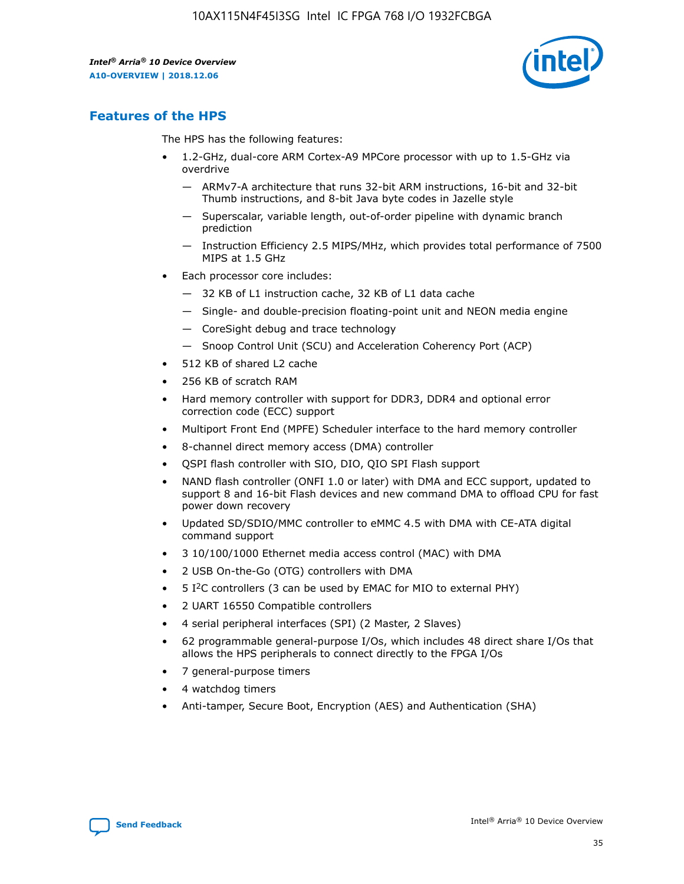

# **Features of the HPS**

The HPS has the following features:

- 1.2-GHz, dual-core ARM Cortex-A9 MPCore processor with up to 1.5-GHz via overdrive
	- ARMv7-A architecture that runs 32-bit ARM instructions, 16-bit and 32-bit Thumb instructions, and 8-bit Java byte codes in Jazelle style
	- Superscalar, variable length, out-of-order pipeline with dynamic branch prediction
	- Instruction Efficiency 2.5 MIPS/MHz, which provides total performance of 7500 MIPS at 1.5 GHz
- Each processor core includes:
	- 32 KB of L1 instruction cache, 32 KB of L1 data cache
	- Single- and double-precision floating-point unit and NEON media engine
	- CoreSight debug and trace technology
	- Snoop Control Unit (SCU) and Acceleration Coherency Port (ACP)
- 512 KB of shared L2 cache
- 256 KB of scratch RAM
- Hard memory controller with support for DDR3, DDR4 and optional error correction code (ECC) support
- Multiport Front End (MPFE) Scheduler interface to the hard memory controller
- 8-channel direct memory access (DMA) controller
- QSPI flash controller with SIO, DIO, QIO SPI Flash support
- NAND flash controller (ONFI 1.0 or later) with DMA and ECC support, updated to support 8 and 16-bit Flash devices and new command DMA to offload CPU for fast power down recovery
- Updated SD/SDIO/MMC controller to eMMC 4.5 with DMA with CE-ATA digital command support
- 3 10/100/1000 Ethernet media access control (MAC) with DMA
- 2 USB On-the-Go (OTG) controllers with DMA
- $\bullet$  5 I<sup>2</sup>C controllers (3 can be used by EMAC for MIO to external PHY)
- 2 UART 16550 Compatible controllers
- 4 serial peripheral interfaces (SPI) (2 Master, 2 Slaves)
- 62 programmable general-purpose I/Os, which includes 48 direct share I/Os that allows the HPS peripherals to connect directly to the FPGA I/Os
- 7 general-purpose timers
- 4 watchdog timers
- Anti-tamper, Secure Boot, Encryption (AES) and Authentication (SHA)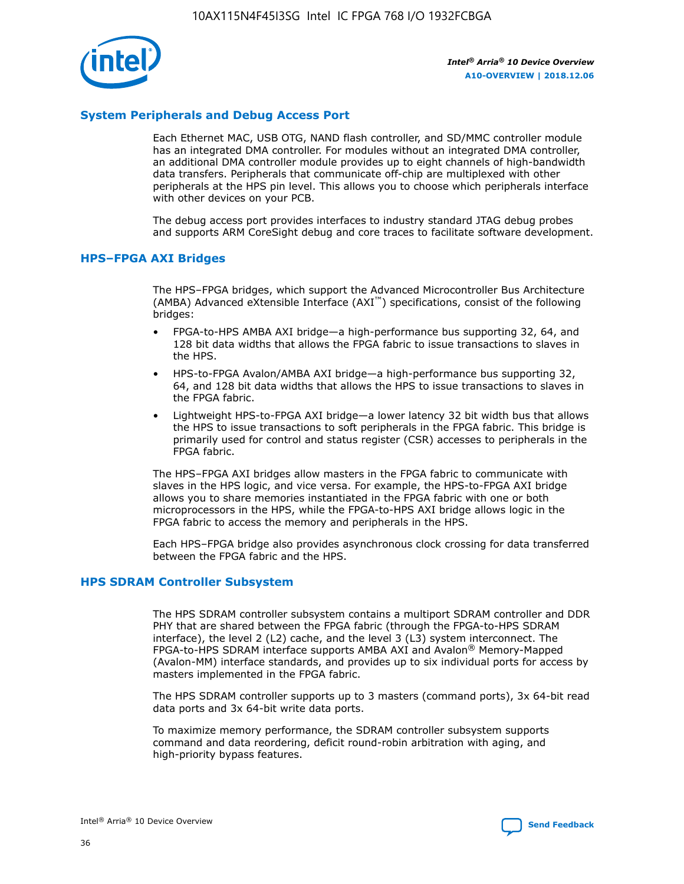

## **System Peripherals and Debug Access Port**

Each Ethernet MAC, USB OTG, NAND flash controller, and SD/MMC controller module has an integrated DMA controller. For modules without an integrated DMA controller, an additional DMA controller module provides up to eight channels of high-bandwidth data transfers. Peripherals that communicate off-chip are multiplexed with other peripherals at the HPS pin level. This allows you to choose which peripherals interface with other devices on your PCB.

The debug access port provides interfaces to industry standard JTAG debug probes and supports ARM CoreSight debug and core traces to facilitate software development.

## **HPS–FPGA AXI Bridges**

The HPS–FPGA bridges, which support the Advanced Microcontroller Bus Architecture (AMBA) Advanced eXtensible Interface (AXI™) specifications, consist of the following bridges:

- FPGA-to-HPS AMBA AXI bridge—a high-performance bus supporting 32, 64, and 128 bit data widths that allows the FPGA fabric to issue transactions to slaves in the HPS.
- HPS-to-FPGA Avalon/AMBA AXI bridge—a high-performance bus supporting 32, 64, and 128 bit data widths that allows the HPS to issue transactions to slaves in the FPGA fabric.
- Lightweight HPS-to-FPGA AXI bridge—a lower latency 32 bit width bus that allows the HPS to issue transactions to soft peripherals in the FPGA fabric. This bridge is primarily used for control and status register (CSR) accesses to peripherals in the FPGA fabric.

The HPS–FPGA AXI bridges allow masters in the FPGA fabric to communicate with slaves in the HPS logic, and vice versa. For example, the HPS-to-FPGA AXI bridge allows you to share memories instantiated in the FPGA fabric with one or both microprocessors in the HPS, while the FPGA-to-HPS AXI bridge allows logic in the FPGA fabric to access the memory and peripherals in the HPS.

Each HPS–FPGA bridge also provides asynchronous clock crossing for data transferred between the FPGA fabric and the HPS.

## **HPS SDRAM Controller Subsystem**

The HPS SDRAM controller subsystem contains a multiport SDRAM controller and DDR PHY that are shared between the FPGA fabric (through the FPGA-to-HPS SDRAM interface), the level 2 (L2) cache, and the level 3 (L3) system interconnect. The FPGA-to-HPS SDRAM interface supports AMBA AXI and Avalon® Memory-Mapped (Avalon-MM) interface standards, and provides up to six individual ports for access by masters implemented in the FPGA fabric.

The HPS SDRAM controller supports up to 3 masters (command ports), 3x 64-bit read data ports and 3x 64-bit write data ports.

To maximize memory performance, the SDRAM controller subsystem supports command and data reordering, deficit round-robin arbitration with aging, and high-priority bypass features.

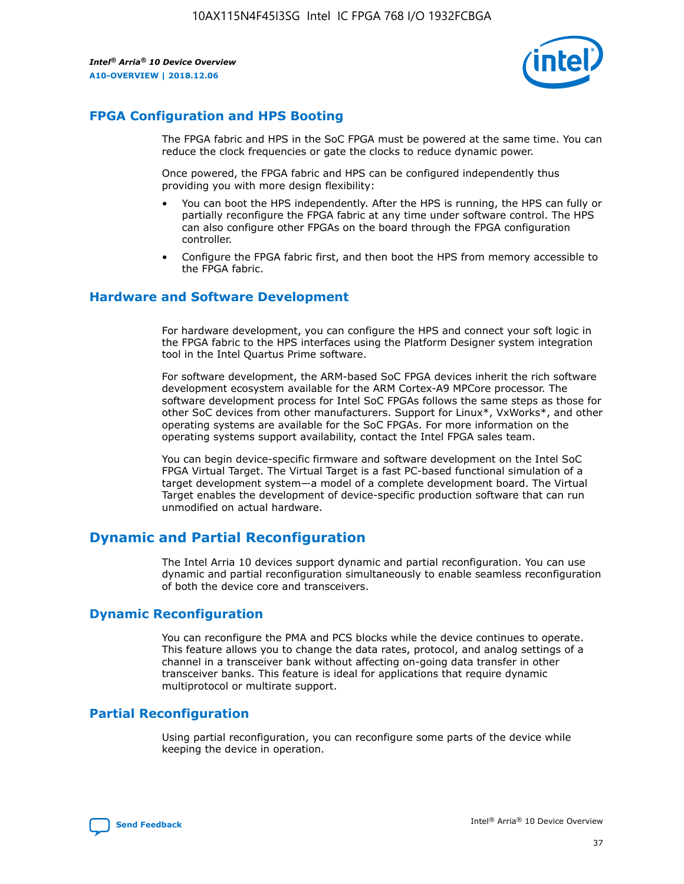

## **FPGA Configuration and HPS Booting**

The FPGA fabric and HPS in the SoC FPGA must be powered at the same time. You can reduce the clock frequencies or gate the clocks to reduce dynamic power.

Once powered, the FPGA fabric and HPS can be configured independently thus providing you with more design flexibility:

- You can boot the HPS independently. After the HPS is running, the HPS can fully or partially reconfigure the FPGA fabric at any time under software control. The HPS can also configure other FPGAs on the board through the FPGA configuration controller.
- Configure the FPGA fabric first, and then boot the HPS from memory accessible to the FPGA fabric.

## **Hardware and Software Development**

For hardware development, you can configure the HPS and connect your soft logic in the FPGA fabric to the HPS interfaces using the Platform Designer system integration tool in the Intel Quartus Prime software.

For software development, the ARM-based SoC FPGA devices inherit the rich software development ecosystem available for the ARM Cortex-A9 MPCore processor. The software development process for Intel SoC FPGAs follows the same steps as those for other SoC devices from other manufacturers. Support for Linux\*, VxWorks\*, and other operating systems are available for the SoC FPGAs. For more information on the operating systems support availability, contact the Intel FPGA sales team.

You can begin device-specific firmware and software development on the Intel SoC FPGA Virtual Target. The Virtual Target is a fast PC-based functional simulation of a target development system—a model of a complete development board. The Virtual Target enables the development of device-specific production software that can run unmodified on actual hardware.

## **Dynamic and Partial Reconfiguration**

The Intel Arria 10 devices support dynamic and partial reconfiguration. You can use dynamic and partial reconfiguration simultaneously to enable seamless reconfiguration of both the device core and transceivers.

## **Dynamic Reconfiguration**

You can reconfigure the PMA and PCS blocks while the device continues to operate. This feature allows you to change the data rates, protocol, and analog settings of a channel in a transceiver bank without affecting on-going data transfer in other transceiver banks. This feature is ideal for applications that require dynamic multiprotocol or multirate support.

# **Partial Reconfiguration**

Using partial reconfiguration, you can reconfigure some parts of the device while keeping the device in operation.

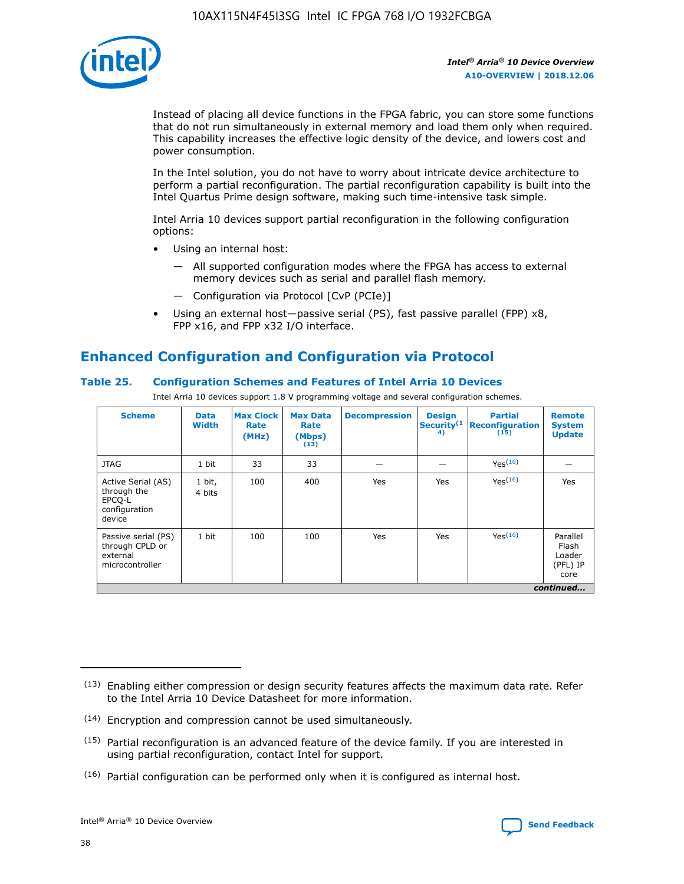

Instead of placing all device functions in the FPGA fabric, you can store some functions that do not run simultaneously in external memory and load them only when required. This capability increases the effective logic density of the device, and lowers cost and power consumption.

In the Intel solution, you do not have to worry about intricate device architecture to perform a partial reconfiguration. The partial reconfiguration capability is built into the Intel Quartus Prime design software, making such time-intensive task simple.

Intel Arria 10 devices support partial reconfiguration in the following configuration options:

- Using an internal host:
	- All supported configuration modes where the FPGA has access to external memory devices such as serial and parallel flash memory.
	- Configuration via Protocol [CvP (PCIe)]
- Using an external host—passive serial (PS), fast passive parallel (FPP) x8, FPP x16, and FPP x32 I/O interface.

# **Enhanced Configuration and Configuration via Protocol**

## **Table 25. Configuration Schemes and Features of Intel Arria 10 Devices**

Intel Arria 10 devices support 1.8 V programming voltage and several configuration schemes.

| <b>Scheme</b>                                                          | <b>Data</b><br><b>Width</b> | <b>Max Clock</b><br>Rate<br>(MHz) | <b>Max Data</b><br>Rate<br>(Mbps)<br>(13) | <b>Decompression</b> | <b>Design</b><br>Security <sup>(1</sup><br>4) | <b>Partial</b><br><b>Reconfiguration</b><br>(15) | <b>Remote</b><br><b>System</b><br><b>Update</b> |
|------------------------------------------------------------------------|-----------------------------|-----------------------------------|-------------------------------------------|----------------------|-----------------------------------------------|--------------------------------------------------|-------------------------------------------------|
| <b>JTAG</b>                                                            | 1 bit                       | 33                                | 33                                        |                      |                                               | Yes(16)                                          |                                                 |
| Active Serial (AS)<br>through the<br>EPCO-L<br>configuration<br>device | 1 bit,<br>4 bits            | 100                               | 400                                       | Yes                  | Yes                                           | $Y_{PS}(16)$                                     | Yes                                             |
| Passive serial (PS)<br>through CPLD or<br>external<br>microcontroller  | 1 bit                       | 100                               | 100                                       | Yes                  | Yes                                           | Yes(16)                                          | Parallel<br>Flash<br>Loader<br>(PFL) IP<br>core |
|                                                                        |                             |                                   |                                           |                      |                                               |                                                  | continued                                       |

<sup>(13)</sup> Enabling either compression or design security features affects the maximum data rate. Refer to the Intel Arria 10 Device Datasheet for more information.

<sup>(14)</sup> Encryption and compression cannot be used simultaneously.

 $(15)$  Partial reconfiguration is an advanced feature of the device family. If you are interested in using partial reconfiguration, contact Intel for support.

 $(16)$  Partial configuration can be performed only when it is configured as internal host.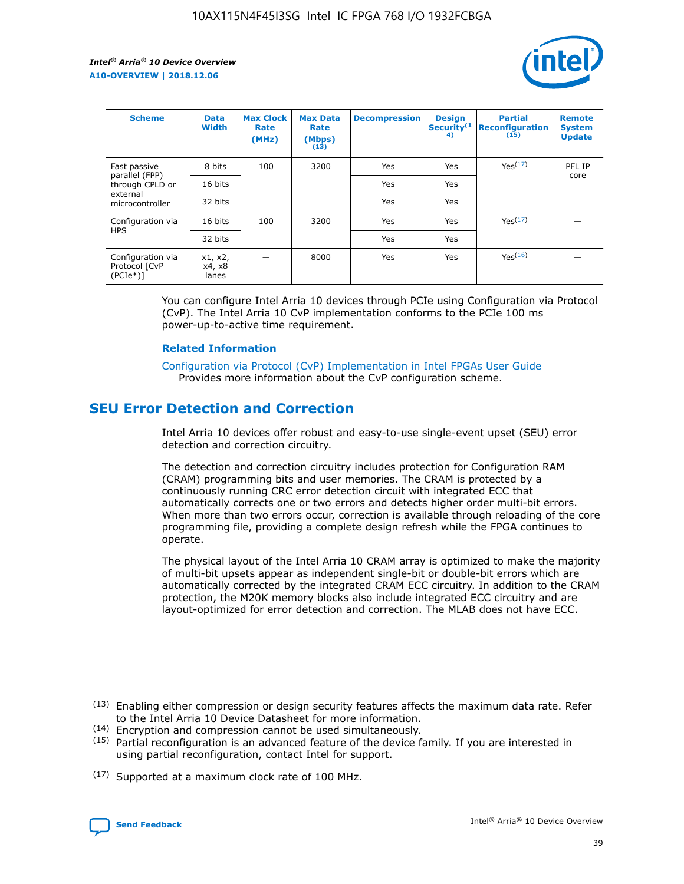

| <b>Scheme</b>                                    | <b>Data</b><br><b>Width</b> | <b>Max Clock</b><br>Rate<br>(MHz) | <b>Max Data</b><br>Rate<br>(Mbps)<br>(13) | <b>Decompression</b> | <b>Design</b><br>Security <sup>(1</sup><br>4) | <b>Partial</b><br><b>Reconfiguration</b><br>(15) | <b>Remote</b><br><b>System</b><br><b>Update</b> |
|--------------------------------------------------|-----------------------------|-----------------------------------|-------------------------------------------|----------------------|-----------------------------------------------|--------------------------------------------------|-------------------------------------------------|
| Fast passive                                     | 8 bits                      | 100                               | 3200                                      | Yes                  | Yes                                           | Yes(17)                                          | PFL IP                                          |
| parallel (FPP)<br>through CPLD or                | 16 bits                     |                                   |                                           | Yes                  | Yes                                           |                                                  | core                                            |
| external<br>microcontroller                      | 32 bits                     |                                   |                                           | Yes                  | Yes                                           |                                                  |                                                 |
| Configuration via                                | 16 bits                     | 100                               | 3200                                      | Yes                  | Yes                                           | Yes <sup>(17)</sup>                              |                                                 |
| <b>HPS</b>                                       | 32 bits                     |                                   |                                           | Yes                  | Yes                                           |                                                  |                                                 |
| Configuration via<br>Protocol [CvP<br>$(PCIe^*)$ | x1, x2,<br>x4, x8<br>lanes  |                                   | 8000                                      | Yes                  | Yes                                           | Yes(16)                                          |                                                 |

You can configure Intel Arria 10 devices through PCIe using Configuration via Protocol (CvP). The Intel Arria 10 CvP implementation conforms to the PCIe 100 ms power-up-to-active time requirement.

## **Related Information**

[Configuration via Protocol \(CvP\) Implementation in Intel FPGAs User Guide](https://www.intel.com/content/www/us/en/programmable/documentation/dsu1441819344145.html#dsu1442269728522) Provides more information about the CvP configuration scheme.

# **SEU Error Detection and Correction**

Intel Arria 10 devices offer robust and easy-to-use single-event upset (SEU) error detection and correction circuitry.

The detection and correction circuitry includes protection for Configuration RAM (CRAM) programming bits and user memories. The CRAM is protected by a continuously running CRC error detection circuit with integrated ECC that automatically corrects one or two errors and detects higher order multi-bit errors. When more than two errors occur, correction is available through reloading of the core programming file, providing a complete design refresh while the FPGA continues to operate.

The physical layout of the Intel Arria 10 CRAM array is optimized to make the majority of multi-bit upsets appear as independent single-bit or double-bit errors which are automatically corrected by the integrated CRAM ECC circuitry. In addition to the CRAM protection, the M20K memory blocks also include integrated ECC circuitry and are layout-optimized for error detection and correction. The MLAB does not have ECC.

(14) Encryption and compression cannot be used simultaneously.

<sup>(17)</sup> Supported at a maximum clock rate of 100 MHz.



 $(13)$  Enabling either compression or design security features affects the maximum data rate. Refer to the Intel Arria 10 Device Datasheet for more information.

 $(15)$  Partial reconfiguration is an advanced feature of the device family. If you are interested in using partial reconfiguration, contact Intel for support.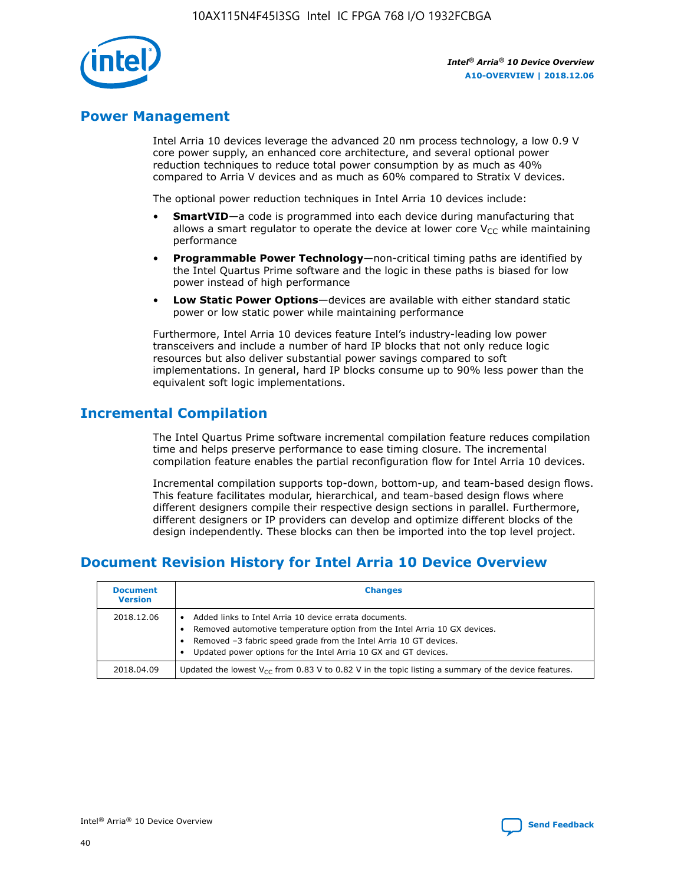

# **Power Management**

Intel Arria 10 devices leverage the advanced 20 nm process technology, a low 0.9 V core power supply, an enhanced core architecture, and several optional power reduction techniques to reduce total power consumption by as much as 40% compared to Arria V devices and as much as 60% compared to Stratix V devices.

The optional power reduction techniques in Intel Arria 10 devices include:

- **SmartVID**—a code is programmed into each device during manufacturing that allows a smart regulator to operate the device at lower core  $V_{CC}$  while maintaining performance
- **Programmable Power Technology**—non-critical timing paths are identified by the Intel Quartus Prime software and the logic in these paths is biased for low power instead of high performance
- **Low Static Power Options**—devices are available with either standard static power or low static power while maintaining performance

Furthermore, Intel Arria 10 devices feature Intel's industry-leading low power transceivers and include a number of hard IP blocks that not only reduce logic resources but also deliver substantial power savings compared to soft implementations. In general, hard IP blocks consume up to 90% less power than the equivalent soft logic implementations.

# **Incremental Compilation**

The Intel Quartus Prime software incremental compilation feature reduces compilation time and helps preserve performance to ease timing closure. The incremental compilation feature enables the partial reconfiguration flow for Intel Arria 10 devices.

Incremental compilation supports top-down, bottom-up, and team-based design flows. This feature facilitates modular, hierarchical, and team-based design flows where different designers compile their respective design sections in parallel. Furthermore, different designers or IP providers can develop and optimize different blocks of the design independently. These blocks can then be imported into the top level project.

# **Document Revision History for Intel Arria 10 Device Overview**

| <b>Document</b><br><b>Version</b> | <b>Changes</b>                                                                                                                                                                                                                                                              |
|-----------------------------------|-----------------------------------------------------------------------------------------------------------------------------------------------------------------------------------------------------------------------------------------------------------------------------|
| 2018.12.06                        | Added links to Intel Arria 10 device errata documents.<br>Removed automotive temperature option from the Intel Arria 10 GX devices.<br>Removed -3 fabric speed grade from the Intel Arria 10 GT devices.<br>Updated power options for the Intel Arria 10 GX and GT devices. |
| 2018.04.09                        | Updated the lowest $V_{CC}$ from 0.83 V to 0.82 V in the topic listing a summary of the device features.                                                                                                                                                                    |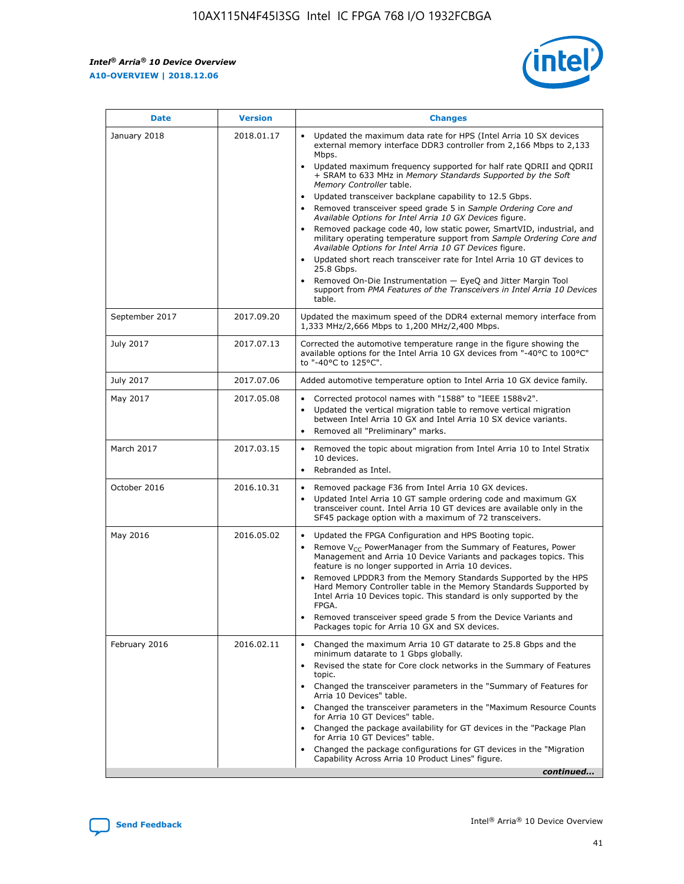*Intel® Arria® 10 Device Overview* **A10-OVERVIEW | 2018.12.06**



| <b>Date</b>    | <b>Version</b> | <b>Changes</b>                                                                                                                                                                                                                                                                                                                                                                                                                                                                                                                                                                                                                                                                                                                                                                                                                                                                                                                                                            |
|----------------|----------------|---------------------------------------------------------------------------------------------------------------------------------------------------------------------------------------------------------------------------------------------------------------------------------------------------------------------------------------------------------------------------------------------------------------------------------------------------------------------------------------------------------------------------------------------------------------------------------------------------------------------------------------------------------------------------------------------------------------------------------------------------------------------------------------------------------------------------------------------------------------------------------------------------------------------------------------------------------------------------|
| January 2018   | 2018.01.17     | Updated the maximum data rate for HPS (Intel Arria 10 SX devices<br>external memory interface DDR3 controller from 2,166 Mbps to 2,133<br>Mbps.<br>Updated maximum frequency supported for half rate QDRII and QDRII<br>+ SRAM to 633 MHz in Memory Standards Supported by the Soft<br>Memory Controller table.<br>Updated transceiver backplane capability to 12.5 Gbps.<br>$\bullet$<br>Removed transceiver speed grade 5 in Sample Ordering Core and<br>Available Options for Intel Arria 10 GX Devices figure.<br>Removed package code 40, low static power, SmartVID, industrial, and<br>military operating temperature support from Sample Ordering Core and<br>Available Options for Intel Arria 10 GT Devices figure.<br>Updated short reach transceiver rate for Intel Arria 10 GT devices to<br>25.8 Gbps.<br>Removed On-Die Instrumentation - EyeQ and Jitter Margin Tool<br>support from PMA Features of the Transceivers in Intel Arria 10 Devices<br>table. |
| September 2017 | 2017.09.20     | Updated the maximum speed of the DDR4 external memory interface from<br>1,333 MHz/2,666 Mbps to 1,200 MHz/2,400 Mbps.                                                                                                                                                                                                                                                                                                                                                                                                                                                                                                                                                                                                                                                                                                                                                                                                                                                     |
| July 2017      | 2017.07.13     | Corrected the automotive temperature range in the figure showing the<br>available options for the Intel Arria 10 GX devices from "-40°C to 100°C"<br>to "-40°C to 125°C".                                                                                                                                                                                                                                                                                                                                                                                                                                                                                                                                                                                                                                                                                                                                                                                                 |
| July 2017      | 2017.07.06     | Added automotive temperature option to Intel Arria 10 GX device family.                                                                                                                                                                                                                                                                                                                                                                                                                                                                                                                                                                                                                                                                                                                                                                                                                                                                                                   |
| May 2017       | 2017.05.08     | Corrected protocol names with "1588" to "IEEE 1588v2".<br>$\bullet$<br>Updated the vertical migration table to remove vertical migration<br>$\bullet$<br>between Intel Arria 10 GX and Intel Arria 10 SX device variants.<br>Removed all "Preliminary" marks.<br>$\bullet$                                                                                                                                                                                                                                                                                                                                                                                                                                                                                                                                                                                                                                                                                                |
| March 2017     | 2017.03.15     | Removed the topic about migration from Intel Arria 10 to Intel Stratix<br>10 devices.<br>Rebranded as Intel.<br>$\bullet$                                                                                                                                                                                                                                                                                                                                                                                                                                                                                                                                                                                                                                                                                                                                                                                                                                                 |
| October 2016   | 2016.10.31     | Removed package F36 from Intel Arria 10 GX devices.<br>Updated Intel Arria 10 GT sample ordering code and maximum GX<br>$\bullet$<br>transceiver count. Intel Arria 10 GT devices are available only in the<br>SF45 package option with a maximum of 72 transceivers.                                                                                                                                                                                                                                                                                                                                                                                                                                                                                                                                                                                                                                                                                                     |
| May 2016       | 2016.05.02     | Updated the FPGA Configuration and HPS Booting topic.<br>$\bullet$<br>Remove V <sub>CC</sub> PowerManager from the Summary of Features, Power<br>Management and Arria 10 Device Variants and packages topics. This<br>feature is no longer supported in Arria 10 devices.<br>Removed LPDDR3 from the Memory Standards Supported by the HPS<br>Hard Memory Controller table in the Memory Standards Supported by<br>Intel Arria 10 Devices topic. This standard is only supported by the<br>FPGA.<br>Removed transceiver speed grade 5 from the Device Variants and<br>Packages topic for Arria 10 GX and SX devices.                                                                                                                                                                                                                                                                                                                                                      |
| February 2016  | 2016.02.11     | Changed the maximum Arria 10 GT datarate to 25.8 Gbps and the<br>minimum datarate to 1 Gbps globally.<br>Revised the state for Core clock networks in the Summary of Features<br>$\bullet$<br>topic.<br>Changed the transceiver parameters in the "Summary of Features for<br>$\bullet$<br>Arria 10 Devices" table.<br>• Changed the transceiver parameters in the "Maximum Resource Counts<br>for Arria 10 GT Devices" table.<br>Changed the package availability for GT devices in the "Package Plan<br>for Arria 10 GT Devices" table.<br>Changed the package configurations for GT devices in the "Migration"<br>Capability Across Arria 10 Product Lines" figure.<br>continued                                                                                                                                                                                                                                                                                       |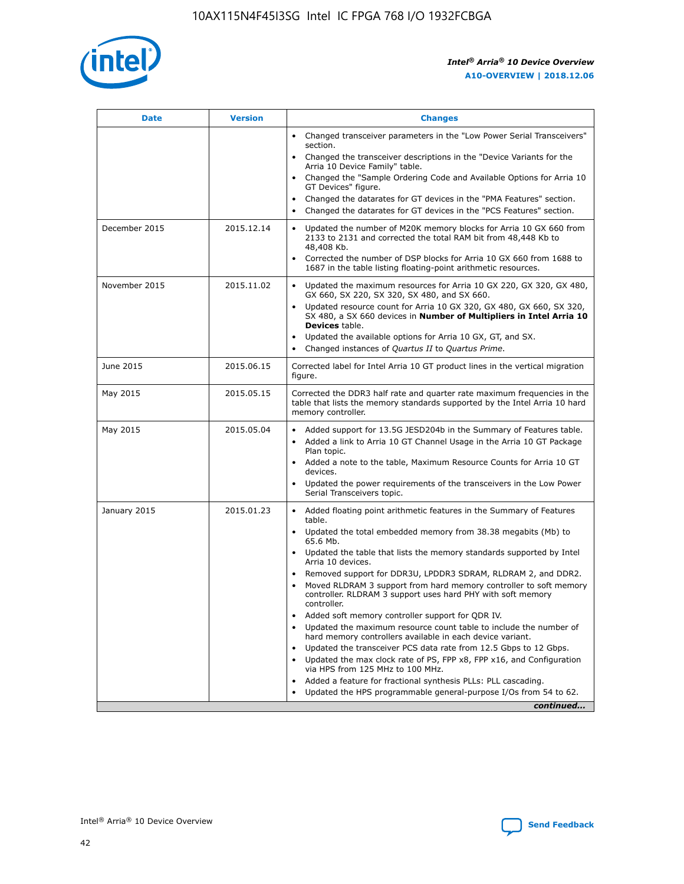

| <b>Date</b>   | <b>Version</b> | <b>Changes</b>                                                                                                                                                               |
|---------------|----------------|------------------------------------------------------------------------------------------------------------------------------------------------------------------------------|
|               |                | • Changed transceiver parameters in the "Low Power Serial Transceivers"<br>section.                                                                                          |
|               |                | • Changed the transceiver descriptions in the "Device Variants for the<br>Arria 10 Device Family" table.                                                                     |
|               |                | Changed the "Sample Ordering Code and Available Options for Arria 10<br>$\bullet$<br>GT Devices" figure.                                                                     |
|               |                | Changed the datarates for GT devices in the "PMA Features" section.                                                                                                          |
|               |                | Changed the datarates for GT devices in the "PCS Features" section.<br>$\bullet$                                                                                             |
| December 2015 | 2015.12.14     | Updated the number of M20K memory blocks for Arria 10 GX 660 from<br>2133 to 2131 and corrected the total RAM bit from 48,448 Kb to<br>48,408 Kb.                            |
|               |                | Corrected the number of DSP blocks for Arria 10 GX 660 from 1688 to<br>1687 in the table listing floating-point arithmetic resources.                                        |
| November 2015 | 2015.11.02     | Updated the maximum resources for Arria 10 GX 220, GX 320, GX 480,<br>$\bullet$<br>GX 660, SX 220, SX 320, SX 480, and SX 660.                                               |
|               |                | • Updated resource count for Arria 10 GX 320, GX 480, GX 660, SX 320,<br>SX 480, a SX 660 devices in Number of Multipliers in Intel Arria 10<br><b>Devices</b> table.        |
|               |                | Updated the available options for Arria 10 GX, GT, and SX.                                                                                                                   |
|               |                | Changed instances of Quartus II to Quartus Prime.<br>$\bullet$                                                                                                               |
| June 2015     | 2015.06.15     | Corrected label for Intel Arria 10 GT product lines in the vertical migration<br>figure.                                                                                     |
| May 2015      | 2015.05.15     | Corrected the DDR3 half rate and quarter rate maximum frequencies in the<br>table that lists the memory standards supported by the Intel Arria 10 hard<br>memory controller. |
| May 2015      | 2015.05.04     | • Added support for 13.5G JESD204b in the Summary of Features table.                                                                                                         |
|               |                | • Added a link to Arria 10 GT Channel Usage in the Arria 10 GT Package<br>Plan topic.                                                                                        |
|               |                | • Added a note to the table, Maximum Resource Counts for Arria 10 GT<br>devices.                                                                                             |
|               |                | • Updated the power requirements of the transceivers in the Low Power<br>Serial Transceivers topic.                                                                          |
| January 2015  | 2015.01.23     | • Added floating point arithmetic features in the Summary of Features<br>table.                                                                                              |
|               |                | • Updated the total embedded memory from 38.38 megabits (Mb) to<br>65.6 Mb.                                                                                                  |
|               |                | • Updated the table that lists the memory standards supported by Intel<br>Arria 10 devices.                                                                                  |
|               |                | Removed support for DDR3U, LPDDR3 SDRAM, RLDRAM 2, and DDR2.                                                                                                                 |
|               |                | Moved RLDRAM 3 support from hard memory controller to soft memory<br>controller. RLDRAM 3 support uses hard PHY with soft memory<br>controller.                              |
|               |                | Added soft memory controller support for QDR IV.<br>٠                                                                                                                        |
|               |                | Updated the maximum resource count table to include the number of<br>hard memory controllers available in each device variant.                                               |
|               |                | Updated the transceiver PCS data rate from 12.5 Gbps to 12 Gbps.<br>$\bullet$                                                                                                |
|               |                | Updated the max clock rate of PS, FPP x8, FPP x16, and Configuration<br>via HPS from 125 MHz to 100 MHz.                                                                     |
|               |                | Added a feature for fractional synthesis PLLs: PLL cascading.                                                                                                                |
|               |                | Updated the HPS programmable general-purpose I/Os from 54 to 62.<br>$\bullet$                                                                                                |
|               |                | continued                                                                                                                                                                    |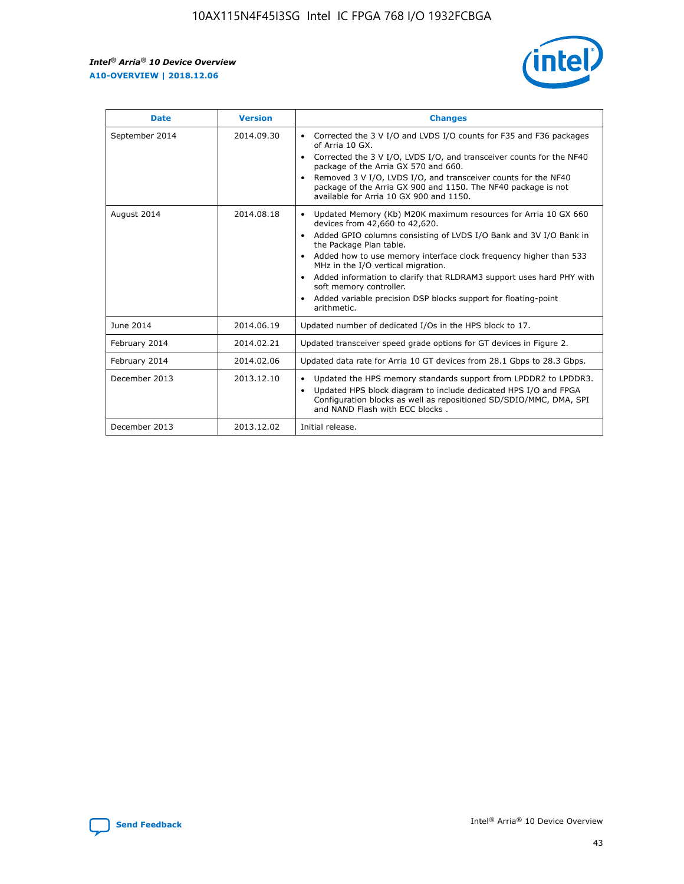r



| <b>Date</b>    | <b>Version</b> | <b>Changes</b>                                                                                                                                                                                                                                                                                                                                                                                                                                                                                                                                      |
|----------------|----------------|-----------------------------------------------------------------------------------------------------------------------------------------------------------------------------------------------------------------------------------------------------------------------------------------------------------------------------------------------------------------------------------------------------------------------------------------------------------------------------------------------------------------------------------------------------|
| September 2014 | 2014.09.30     | Corrected the 3 V I/O and LVDS I/O counts for F35 and F36 packages<br>$\bullet$<br>of Arria 10 GX.<br>Corrected the 3 V I/O, LVDS I/O, and transceiver counts for the NF40<br>$\bullet$<br>package of the Arria GX 570 and 660.<br>Removed 3 V I/O, LVDS I/O, and transceiver counts for the NF40<br>$\bullet$<br>package of the Arria GX 900 and 1150. The NF40 package is not<br>available for Arria 10 GX 900 and 1150.                                                                                                                          |
| August 2014    | 2014.08.18     | Updated Memory (Kb) M20K maximum resources for Arria 10 GX 660<br>devices from 42,660 to 42,620.<br>Added GPIO columns consisting of LVDS I/O Bank and 3V I/O Bank in<br>$\bullet$<br>the Package Plan table.<br>Added how to use memory interface clock frequency higher than 533<br>$\bullet$<br>MHz in the I/O vertical migration.<br>Added information to clarify that RLDRAM3 support uses hard PHY with<br>$\bullet$<br>soft memory controller.<br>Added variable precision DSP blocks support for floating-point<br>$\bullet$<br>arithmetic. |
| June 2014      | 2014.06.19     | Updated number of dedicated I/Os in the HPS block to 17.                                                                                                                                                                                                                                                                                                                                                                                                                                                                                            |
| February 2014  | 2014.02.21     | Updated transceiver speed grade options for GT devices in Figure 2.                                                                                                                                                                                                                                                                                                                                                                                                                                                                                 |
| February 2014  | 2014.02.06     | Updated data rate for Arria 10 GT devices from 28.1 Gbps to 28.3 Gbps.                                                                                                                                                                                                                                                                                                                                                                                                                                                                              |
| December 2013  | 2013.12.10     | Updated the HPS memory standards support from LPDDR2 to LPDDR3.<br>Updated HPS block diagram to include dedicated HPS I/O and FPGA<br>$\bullet$<br>Configuration blocks as well as repositioned SD/SDIO/MMC, DMA, SPI<br>and NAND Flash with ECC blocks.                                                                                                                                                                                                                                                                                            |
| December 2013  | 2013.12.02     | Initial release.                                                                                                                                                                                                                                                                                                                                                                                                                                                                                                                                    |